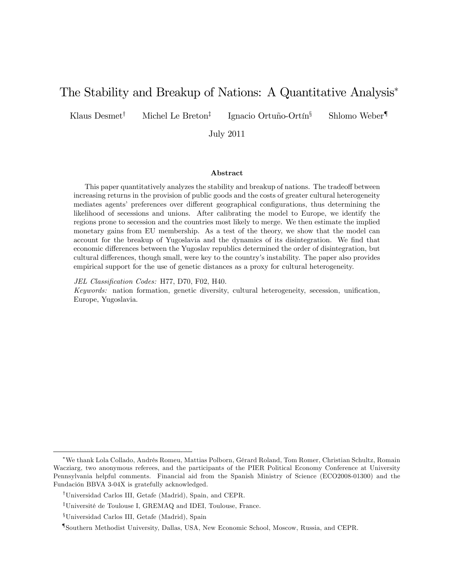# The Stability and Breakup of Nations: A Quantitative Analysis

Klaus Desmet<sup>†</sup> Michel Le Breton<sup>‡</sup> Ignacio Ortuño-Ortín<sup>§</sup> Shlomo Weber<sup>¶</sup>

July 2011

#### Abstract

This paper quantitatively analyzes the stability and breakup of nations. The tradeoff between increasing returns in the provision of public goods and the costs of greater cultural heterogeneity mediates agents' preferences over different geographical configurations, thus determining the likelihood of secessions and unions. After calibrating the model to Europe, we identify the regions prone to secession and the countries most likely to merge. We then estimate the implied monetary gains from EU membership. As a test of the theory, we show that the model can account for the breakup of Yugoslavia and the dynamics of its disintegration. We find that economic differences between the Yugoslav republics determined the order of disintegration, but cultural differences, though small, were key to the country's instability. The paper also provides empirical support for the use of genetic distances as a proxy for cultural heterogeneity.

JEL Classification Codes: H77, D70, F02, H40.

Keywords: nation formation, genetic diversity, cultural heterogeneity, secession, unification, Europe, Yugoslavia.

We thank Lola Collado, AndrÈs Romeu, Mattias Polborn, GÈrard Roland, Tom Romer, Christian Schultz, Romain Wacziarg, two anonymous referees, and the participants of the PIER Political Economy Conference at University Pennsylvania helpful comments. Financial aid from the Spanish Ministry of Science (ECO2008-01300) and the Fundación BBVA 3-04X is gratefully acknowledged.

<sup>&</sup>lt;sup>†</sup>Universidad Carlos III, Getafe (Madrid), Spain, and CEPR.

<sup>&</sup>lt;sup>‡</sup>Université de Toulouse I, GREMAQ and IDEI, Toulouse, France.

<sup>x</sup>Universidad Carlos III, Getafe (Madrid), Spain

<sup>{</sup> Southern Methodist University, Dallas, USA, New Economic School, Moscow, Russia, and CEPR.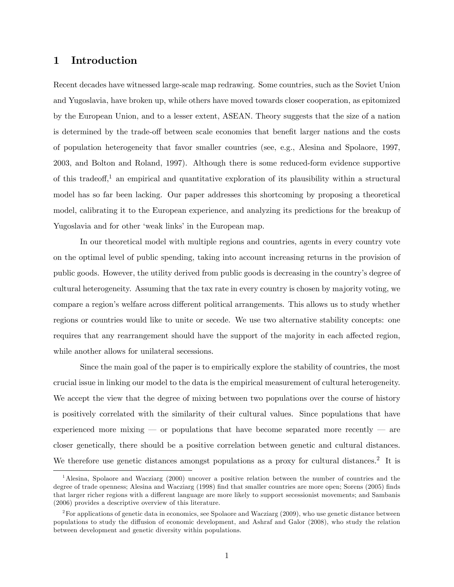## 1 Introduction

Recent decades have witnessed large-scale map redrawing. Some countries, such as the Soviet Union and Yugoslavia, have broken up, while others have moved towards closer cooperation, as epitomized by the European Union, and to a lesser extent, ASEAN. Theory suggests that the size of a nation is determined by the trade-off between scale economies that benefit larger nations and the costs of population heterogeneity that favor smaller countries (see, e.g., Alesina and Spolaore, 1997, 2003, and Bolton and Roland, 1997). Although there is some reduced-form evidence supportive of this tradeoff,<sup>1</sup> an empirical and quantitative exploration of its plausibility within a structural model has so far been lacking. Our paper addresses this shortcoming by proposing a theoretical model, calibrating it to the European experience, and analyzing its predictions for the breakup of Yugoslavia and for other 'weak links' in the European map.

In our theoretical model with multiple regions and countries, agents in every country vote on the optimal level of public spending, taking into account increasing returns in the provision of public goods. However, the utility derived from public goods is decreasing in the countryís degree of cultural heterogeneity. Assuming that the tax rate in every country is chosen by majority voting, we compare a region's welfare across different political arrangements. This allows us to study whether regions or countries would like to unite or secede. We use two alternative stability concepts: one requires that any rearrangement should have the support of the majority in each affected region, while another allows for unilateral secessions.

Since the main goal of the paper is to empirically explore the stability of countries, the most crucial issue in linking our model to the data is the empirical measurement of cultural heterogeneity. We accept the view that the degree of mixing between two populations over the course of history is positively correlated with the similarity of their cultural values. Since populations that have experienced more mixing  $\sim$  or populations that have become separated more recently  $\sim$  are closer genetically, there should be a positive correlation between genetic and cultural distances. We therefore use genetic distances amongst populations as a proxy for cultural distances.<sup>2</sup> It is

<sup>1</sup>Alesina, Spolaore and Wacziarg (2000) uncover a positive relation between the number of countries and the degree of trade openness; Alesina and Wacziarg (1998) find that smaller countries are more open; Sorens (2005) finds that larger richer regions with a different language are more likely to support secessionist movements; and Sambanis (2006) provides a descriptive overview of this literature.

<sup>&</sup>lt;sup>2</sup>For applications of genetic data in economics, see Spolaore and Wacziarg  $(2009)$ , who use genetic distance between populations to study the diffusion of economic development, and Ashraf and Galor (2008), who study the relation between development and genetic diversity within populations.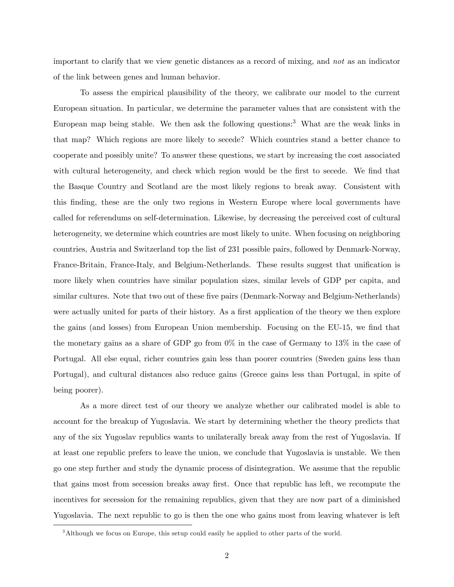important to clarify that we view genetic distances as a record of mixing, and not as an indicator of the link between genes and human behavior.

To assess the empirical plausibility of the theory, we calibrate our model to the current European situation. In particular, we determine the parameter values that are consistent with the European map being stable. We then ask the following questions:<sup>3</sup> What are the weak links in that map? Which regions are more likely to secede? Which countries stand a better chance to cooperate and possibly unite? To answer these questions, we start by increasing the cost associated with cultural heterogeneity, and check which region would be the first to secede. We find that the Basque Country and Scotland are the most likely regions to break away. Consistent with this Önding, these are the only two regions in Western Europe where local governments have called for referendums on self-determination. Likewise, by decreasing the perceived cost of cultural heterogeneity, we determine which countries are most likely to unite. When focusing on neighboring countries, Austria and Switzerland top the list of 231 possible pairs, followed by Denmark-Norway, France-Britain, France-Italy, and Belgium-Netherlands. These results suggest that unification is more likely when countries have similar population sizes, similar levels of GDP per capita, and similar cultures. Note that two out of these five pairs (Denmark-Norway and Belgium-Netherlands) were actually united for parts of their history. As a first application of the theory we then explore the gains (and losses) from European Union membership. Focusing on the EU-15, we find that the monetary gains as a share of GDP go from 0% in the case of Germany to 13% in the case of Portugal. All else equal, richer countries gain less than poorer countries (Sweden gains less than Portugal), and cultural distances also reduce gains (Greece gains less than Portugal, in spite of being poorer).

As a more direct test of our theory we analyze whether our calibrated model is able to account for the breakup of Yugoslavia. We start by determining whether the theory predicts that any of the six Yugoslav republics wants to unilaterally break away from the rest of Yugoslavia. If at least one republic prefers to leave the union, we conclude that Yugoslavia is unstable. We then go one step further and study the dynamic process of disintegration. We assume that the republic that gains most from secession breaks away first. Once that republic has left, we recompute the incentives for secession for the remaining republics, given that they are now part of a diminished Yugoslavia. The next republic to go is then the one who gains most from leaving whatever is left

<sup>3</sup>Although we focus on Europe, this setup could easily be applied to other parts of the world.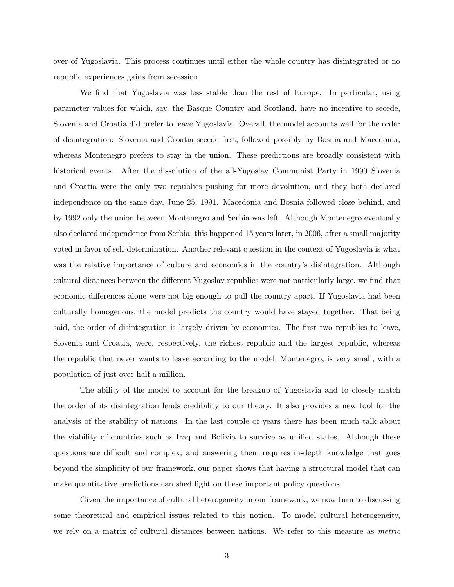over of Yugoslavia. This process continues until either the whole country has disintegrated or no republic experiences gains from secession.

We find that Yugoslavia was less stable than the rest of Europe. In particular, using parameter values for which, say, the Basque Country and Scotland, have no incentive to secede, Slovenia and Croatia did prefer to leave Yugoslavia. Overall, the model accounts well for the order of disintegration: Slovenia and Croatia secede Örst, followed possibly by Bosnia and Macedonia, whereas Montenegro prefers to stay in the union. These predictions are broadly consistent with historical events. After the dissolution of the all-Yugoslav Communist Party in 1990 Slovenia and Croatia were the only two republics pushing for more devolution, and they both declared independence on the same day, June 25, 1991. Macedonia and Bosnia followed close behind, and by 1992 only the union between Montenegro and Serbia was left. Although Montenegro eventually also declared independence from Serbia, this happened 15 years later, in 2006, after a small majority voted in favor of self-determination. Another relevant question in the context of Yugoslavia is what was the relative importance of culture and economics in the country's disintegration. Although cultural distances between the different Yugoslav republics were not particularly large, we find that economic differences alone were not big enough to pull the country apart. If Yugoslavia had been culturally homogenous, the model predicts the country would have stayed together. That being said, the order of disintegration is largely driven by economics. The first two republics to leave, Slovenia and Croatia, were, respectively, the richest republic and the largest republic, whereas the republic that never wants to leave according to the model, Montenegro, is very small, with a population of just over half a million.

The ability of the model to account for the breakup of Yugoslavia and to closely match the order of its disintegration lends credibility to our theory. It also provides a new tool for the analysis of the stability of nations. In the last couple of years there has been much talk about the viability of countries such as Iraq and Bolivia to survive as unified states. Although these questions are difficult and complex, and answering them requires in-depth knowledge that goes beyond the simplicity of our framework, our paper shows that having a structural model that can make quantitative predictions can shed light on these important policy questions.

Given the importance of cultural heterogeneity in our framework, we now turn to discussing some theoretical and empirical issues related to this notion. To model cultural heterogeneity, we rely on a matrix of cultural distances between nations. We refer to this measure as *metric*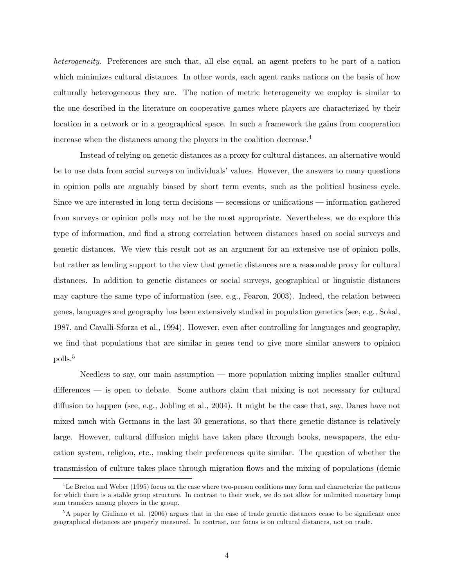heterogeneity. Preferences are such that, all else equal, an agent prefers to be part of a nation which minimizes cultural distances. In other words, each agent ranks nations on the basis of how culturally heterogeneous they are. The notion of metric heterogeneity we employ is similar to the one described in the literature on cooperative games where players are characterized by their location in a network or in a geographical space. In such a framework the gains from cooperation increase when the distances among the players in the coalition decrease.<sup>4</sup>

Instead of relying on genetic distances as a proxy for cultural distances, an alternative would be to use data from social surveys on individuals' values. However, the answers to many questions in opinion polls are arguably biased by short term events, such as the political business cycle. Since we are interested in long-term decisions – secessions or unifications – information gathered from surveys or opinion polls may not be the most appropriate. Nevertheless, we do explore this type of information, and find a strong correlation between distances based on social surveys and genetic distances. We view this result not as an argument for an extensive use of opinion polls, but rather as lending support to the view that genetic distances are a reasonable proxy for cultural distances. In addition to genetic distances or social surveys, geographical or linguistic distances may capture the same type of information (see, e.g., Fearon, 2003). Indeed, the relation between genes, languages and geography has been extensively studied in population genetics (see, e.g., Sokal, 1987, and Cavalli-Sforza et al., 1994). However, even after controlling for languages and geography, we find that populations that are similar in genes tend to give more similar answers to opinion polls.<sup>5</sup>

Needless to say, our main assumption – more population mixing implies smaller cultural  $differences$  is open to debate. Some authors claim that mixing is not necessary for cultural diffusion to happen (see, e.g., Jobling et al., 2004). It might be the case that, say, Danes have not mixed much with Germans in the last 30 generations, so that there genetic distance is relatively large. However, cultural diffusion might have taken place through books, newspapers, the education system, religion, etc., making their preferences quite similar. The question of whether the transmission of culture takes place through migration flows and the mixing of populations (demic

<sup>&</sup>lt;sup>4</sup>Le Breton and Weber (1995) focus on the case where two-person coalitions may form and characterize the patterns for which there is a stable group structure. In contrast to their work, we do not allow for unlimited monetary lump sum transfers among players in the group.

 $5A$  paper by Giuliano et al. (2006) argues that in the case of trade genetic distances cease to be significant once geographical distances are properly measured. In contrast, our focus is on cultural distances, not on trade.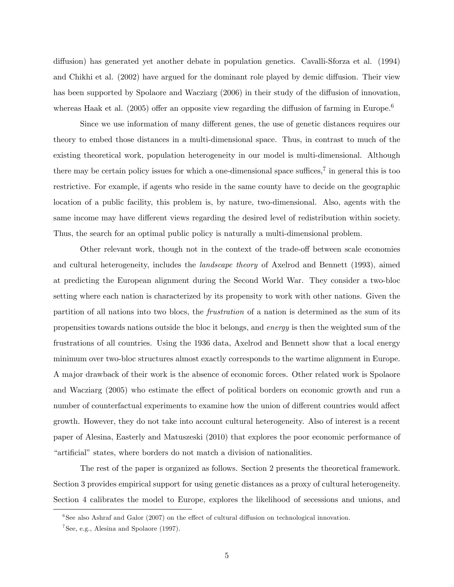diffusion) has generated yet another debate in population genetics. Cavalli-Sforza et al. (1994) and Chikhi et al. (2002) have argued for the dominant role played by demic diffusion. Their view has been supported by Spolaore and Wacziarg (2006) in their study of the diffusion of innovation, whereas Haak et al. (2005) offer an opposite view regarding the diffusion of farming in Europe.<sup>6</sup>

Since we use information of many different genes, the use of genetic distances requires our theory to embed those distances in a multi-dimensional space. Thus, in contrast to much of the existing theoretical work, population heterogeneity in our model is multi-dimensional. Although there may be certain policy issues for which a one-dimensional space suffices,<sup>7</sup> in general this is too restrictive. For example, if agents who reside in the same county have to decide on the geographic location of a public facility, this problem is, by nature, two-dimensional. Also, agents with the same income may have different views regarding the desired level of redistribution within society. Thus, the search for an optimal public policy is naturally a multi-dimensional problem.

Other relevant work, though not in the context of the trade-off between scale economies and cultural heterogeneity, includes the landscape theory of Axelrod and Bennett (1993), aimed at predicting the European alignment during the Second World War. They consider a two-bloc setting where each nation is characterized by its propensity to work with other nations. Given the partition of all nations into two blocs, the frustration of a nation is determined as the sum of its propensities towards nations outside the bloc it belongs, and energy is then the weighted sum of the frustrations of all countries. Using the 1936 data, Axelrod and Bennett show that a local energy minimum over two-bloc structures almost exactly corresponds to the wartime alignment in Europe. A major drawback of their work is the absence of economic forces. Other related work is Spolaore and Wacziarg (2005) who estimate the effect of political borders on economic growth and run a number of counterfactual experiments to examine how the union of different countries would affect growth. However, they do not take into account cultural heterogeneity. Also of interest is a recent paper of Alesina, Easterly and Matuszeski (2010) that explores the poor economic performance of "artificial" states, where borders do not match a division of nationalities.

The rest of the paper is organized as follows. Section 2 presents the theoretical framework. Section 3 provides empirical support for using genetic distances as a proxy of cultural heterogeneity. Section 4 calibrates the model to Europe, explores the likelihood of secessions and unions, and

<sup>&</sup>lt;sup>6</sup>See also Ashraf and Galor (2007) on the effect of cultural diffusion on technological innovation.

<sup>&</sup>lt;sup>7</sup>See, e.g., Alesina and Spolaore (1997).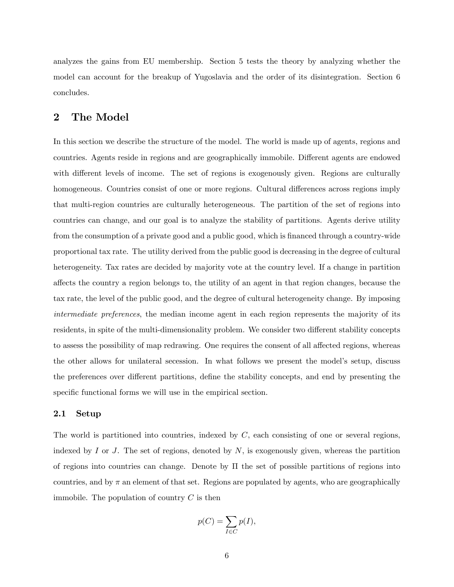analyzes the gains from EU membership. Section 5 tests the theory by analyzing whether the model can account for the breakup of Yugoslavia and the order of its disintegration. Section 6 concludes.

### 2 The Model

In this section we describe the structure of the model. The world is made up of agents, regions and countries. Agents reside in regions and are geographically immobile. Different agents are endowed with different levels of income. The set of regions is exogenously given. Regions are culturally homogeneous. Countries consist of one or more regions. Cultural differences across regions imply that multi-region countries are culturally heterogeneous. The partition of the set of regions into countries can change, and our goal is to analyze the stability of partitions. Agents derive utility from the consumption of a private good and a public good, which is financed through a country-wide proportional tax rate. The utility derived from the public good is decreasing in the degree of cultural heterogeneity. Tax rates are decided by majority vote at the country level. If a change in partition a§ects the country a region belongs to, the utility of an agent in that region changes, because the tax rate, the level of the public good, and the degree of cultural heterogeneity change. By imposing intermediate preferences, the median income agent in each region represents the majority of its residents, in spite of the multi-dimensionality problem. We consider two different stability concepts to assess the possibility of map redrawing. One requires the consent of all affected regions, whereas the other allows for unilateral secession. In what follows we present the model's setup, discuss the preferences over different partitions, define the stability concepts, and end by presenting the specific functional forms we will use in the empirical section.

#### 2.1 Setup

The world is partitioned into countries, indexed by  $C$ , each consisting of one or several regions, indexed by  $I$  or  $J$ . The set of regions, denoted by  $N$ , is exogenously given, whereas the partition of regions into countries can change. Denote by  $\Pi$  the set of possible partitions of regions into countries, and by  $\pi$  an element of that set. Regions are populated by agents, who are geographically immobile. The population of country  $C$  is then

$$
p(C) = \sum_{I \in C} p(I),
$$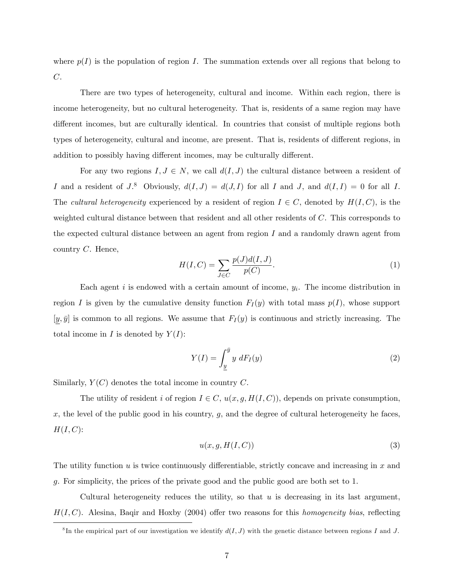where  $p(I)$  is the population of region I. The summation extends over all regions that belong to C.

There are two types of heterogeneity, cultural and income. Within each region, there is income heterogeneity, but no cultural heterogeneity. That is, residents of a same region may have different incomes, but are culturally identical. In countries that consist of multiple regions both types of heterogeneity, cultural and income, are present. That is, residents of different regions, in addition to possibly having different incomes, may be culturally different.

For any two regions  $I, J \in N$ , we call  $d(I, J)$  the cultural distance between a resident of I and a resident of  $J^8$  Obviously,  $d(I, J) = d(J, I)$  for all I and  $J$ , and  $d(I, I) = 0$  for all I. The cultural heterogeneity experienced by a resident of region  $I \in C$ , denoted by  $H(I, C)$ , is the weighted cultural distance between that resident and all other residents of C. This corresponds to the expected cultural distance between an agent from region I and a randomly drawn agent from country  $C$ . Hence,

$$
H(I, C) = \sum_{J \in C} \frac{p(J)d(I, J)}{p(C)}.
$$
\n(1)

Each agent  $i$  is endowed with a certain amount of income,  $y_i$ . The income distribution in region I is given by the cumulative density function  $F_I(y)$  with total mass  $p(I)$ , whose support  $[y, \bar{y}]$  is common to all regions. We assume that  $F_I(y)$  is continuous and strictly increasing. The total income in I is denoted by  $Y(I)$ :

$$
Y(I) = \int_{\underline{y}}^{\overline{y}} y \, dF_I(y) \tag{2}
$$

Similarly,  $Y(C)$  denotes the total income in country C.

The utility of resident i of region  $I \in C$ ,  $u(x, g, H(I, C))$ , depends on private consumption,  $x$ , the level of the public good in his country,  $g$ , and the degree of cultural heterogeneity he faces,  $H(I, C)$ :

$$
u(x, g, H(I, C))
$$
\n<sup>(3)</sup>

The utility function u is twice continuously differentiable, strictly concave and increasing in x and g. For simplicity, the prices of the private good and the public good are both set to 1.

Cultural heterogeneity reduces the utility, so that  $u$  is decreasing in its last argument,  $H(I, C)$ . Alesina, Baqir and Hoxby (2004) offer two reasons for this homogeneity bias, reflecting

 ${}^8$ In the empirical part of our investigation we identify  $d(I, J)$  with the genetic distance between regions I and J.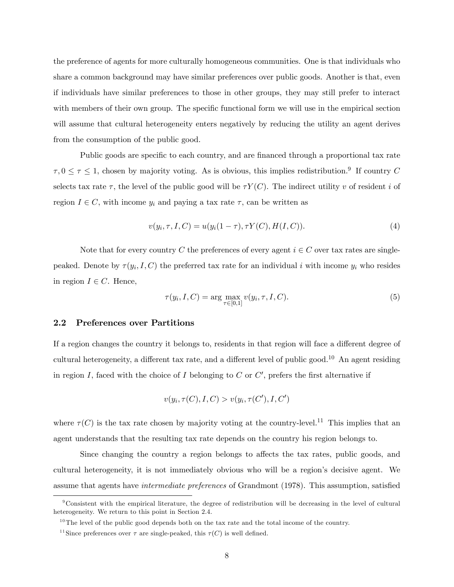the preference of agents for more culturally homogeneous communities. One is that individuals who share a common background may have similar preferences over public goods. Another is that, even if individuals have similar preferences to those in other groups, they may still prefer to interact with members of their own group. The specific functional form we will use in the empirical section will assume that cultural heterogeneity enters negatively by reducing the utility an agent derives from the consumption of the public good.

Public goods are specific to each country, and are financed through a proportional tax rate  $\tau, 0 \leq \tau \leq 1$ , chosen by majority voting. As is obvious, this implies redistribution.<sup>9</sup> If country C selects tax rate  $\tau$ , the level of the public good will be  $\tau Y(C)$ . The indirect utility v of resident i of region  $I \in C$ , with income  $y_i$  and paying a tax rate  $\tau$ , can be written as

$$
v(y_i, \tau, I, C) = u(y_i(1 - \tau), \tau Y(C), H(I, C)).
$$
\n(4)

Note that for every country C the preferences of every agent  $i \in C$  over tax rates are singlepeaked. Denote by  $\tau(y_i, I, C)$  the preferred tax rate for an individual i with income  $y_i$  who resides in region  $I \in C$ . Hence,

$$
\tau(y_i, I, C) = \arg \max_{\tau \in [0, 1]} v(y_i, \tau, I, C).
$$
\n(5)

#### 2.2 Preferences over Partitions

If a region changes the country it belongs to, residents in that region will face a different degree of cultural heterogeneity, a different tax rate, and a different level of public good.<sup>10</sup> An agent residing in region I, faced with the choice of I belonging to C or  $C'$ , prefers the first alternative if

$$
v(y_i, \tau(C), I, C) > v(y_i, \tau(C'), I, C')
$$

where  $\tau(C)$  is the tax rate chosen by majority voting at the country-level.<sup>11</sup> This implies that an agent understands that the resulting tax rate depends on the country his region belongs to.

Since changing the country a region belongs to affects the tax rates, public goods, and cultural heterogeneity, it is not immediately obvious who will be a region's decisive agent. We assume that agents have *intermediate preferences* of Grandmont (1978). This assumption, satisfied

<sup>&</sup>lt;sup>9</sup>Consistent with the empirical literature, the degree of redistribution will be decreasing in the level of cultural heterogeneity. We return to this point in Section 2.4.

 $10$ <sup>10</sup>The level of the public good depends both on the tax rate and the total income of the country.

<sup>&</sup>lt;sup>11</sup> Since preferences over  $\tau$  are single-peaked, this  $\tau(C)$  is well defined.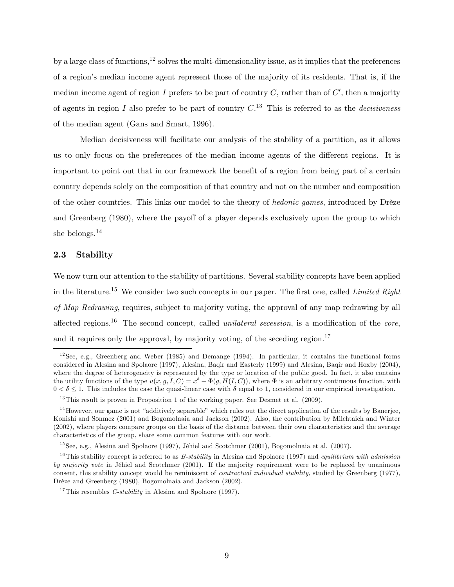by a large class of functions,<sup>12</sup> solves the multi-dimensionality issue, as it implies that the preferences of a regionís median income agent represent those of the majority of its residents. That is, if the median income agent of region I prefers to be part of country C, rather than of  $C'$ , then a majority of agents in region I also prefer to be part of country  $C^{13}$ . This is referred to as the *decisiveness* of the median agent (Gans and Smart, 1996).

Median decisiveness will facilitate our analysis of the stability of a partition, as it allows us to only focus on the preferences of the median income agents of the different regions. It is important to point out that in our framework the benefit of a region from being part of a certain country depends solely on the composition of that country and not on the number and composition of the other countries. This links our model to the theory of *hedonic games*, introduced by Drèze and Greenberg (1980), where the payoff of a player depends exclusively upon the group to which she belongs.<sup>14</sup>

#### 2.3 Stability

We now turn our attention to the stability of partitions. Several stability concepts have been applied in the literature.<sup>15</sup> We consider two such concepts in our paper. The first one, called Limited Right of Map Redrawing, requires, subject to majority voting, the approval of any map redrawing by all affected regions.<sup>16</sup> The second concept, called *unilateral secession*, is a modification of the *core*, and it requires only the approval, by majority voting, of the seceding region.<sup>17</sup>

<sup>&</sup>lt;sup>12</sup>See, e.g., Greenberg and Weber (1985) and Demange (1994). In particular, it contains the functional forms considered in Alesina and Spolaore (1997), Alesina, Baqir and Easterly (1999) and Alesina, Baqir and Hoxby (2004), where the degree of heterogeneity is represented by the type or location of the public good. In fact, it also contains the utility functions of the type  $u(x, g, I, C) = x^{\delta} + \Phi(g, H(I, C))$ , where  $\Phi$  is an arbitrary continuous function, with  $0 < \delta \leq 1$ . This includes the case the quasi-linear case with  $\delta$  equal to 1, considered in our empirical investigation.

 $13$ This result is proven in Proposition 1 of the working paper. See Desmet et al. (2009).

 $14$  However, our game is not "additively separable" which rules out the direct application of the results by Banerjee, Konishi and Sönmez (2001) and Bogomolnaia and Jackson (2002). Also, the contribution by Milchtaich and Winter (2002), where players compare groups on the basis of the distance between their own characteristics and the average characteristics of the group, share some common features with our work.

<sup>&</sup>lt;sup>15</sup> See, e.g., Alesina and Spolaore (1997), Jéhiel and Scotchmer (2001), Bogomolnaia et al. (2007).

<sup>&</sup>lt;sup>16</sup>This stability concept is referred to as *B-stability* in Alesina and Spolaore (1997) and *equilibrium with admission* by majority vote in Jéhiel and Scotchmer (2001). If the majority requirement were to be replaced by unanimous consent, this stability concept would be reminiscent of *contractual individual stability*, studied by Greenberg (1977), Drèze and Greenberg (1980), Bogomolnaia and Jackson (2002).

<sup>&</sup>lt;sup>17</sup>This resembles *C-stability* in Alesina and Spolaore (1997).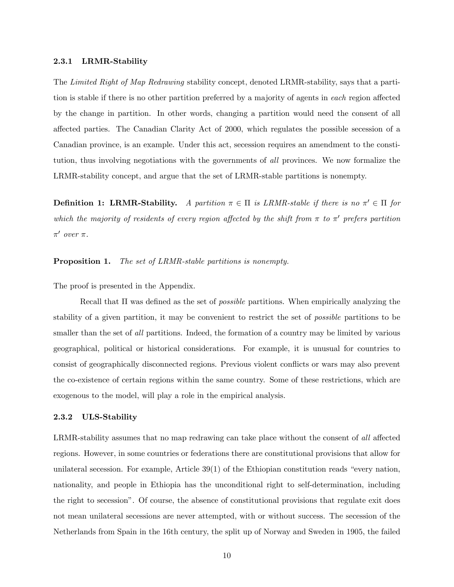#### 2.3.1 LRMR-Stability

The Limited Right of Map Redrawing stability concept, denoted LRMR-stability, says that a partition is stable if there is no other partition preferred by a majority of agents in each region affected by the change in partition. In other words, changing a partition would need the consent of all a§ected parties. The Canadian Clarity Act of 2000, which regulates the possible secession of a Canadian province, is an example. Under this act, secession requires an amendment to the constitution, thus involving negotiations with the governments of all provinces. We now formalize the LRMR-stability concept, and argue that the set of LRMR-stable partitions is nonempty.

**Definition 1: LRMR-Stability.** A partition  $\pi \in \Pi$  is LRMR-stable if there is no  $\pi' \in \Pi$  for which the majority of residents of every region affected by the shift from  $\pi$  to  $\pi'$  prefers partition  $\pi'$  over  $\pi$ .

**Proposition 1.** The set of LRMR-stable partitions is nonempty.

The proof is presented in the Appendix.

Recall that  $\Pi$  was defined as the set of *possible* partitions. When empirically analyzing the stability of a given partition, it may be convenient to restrict the set of possible partitions to be smaller than the set of *all* partitions. Indeed, the formation of a country may be limited by various geographical, political or historical considerations. For example, it is unusual for countries to consist of geographically disconnected regions. Previous violent conflicts or wars may also prevent the co-existence of certain regions within the same country. Some of these restrictions, which are exogenous to the model, will play a role in the empirical analysis.

#### 2.3.2 ULS-Stability

LRMR-stability assumes that no map redrawing can take place without the consent of all affected regions. However, in some countries or federations there are constitutional provisions that allow for unilateral secession. For example, Article  $39(1)$  of the Ethiopian constitution reads "every nation, nationality, and people in Ethiopia has the unconditional right to self-determination, including the right to secessionî. Of course, the absence of constitutional provisions that regulate exit does not mean unilateral secessions are never attempted, with or without success. The secession of the Netherlands from Spain in the 16th century, the split up of Norway and Sweden in 1905, the failed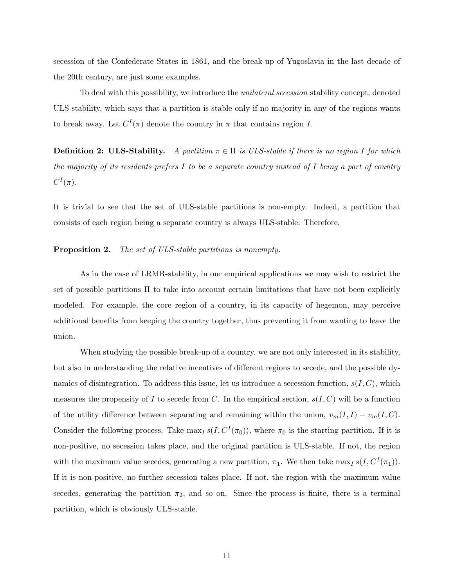secession of the Confederate States in 1861, and the break-up of Yugoslavia in the last decade of the 20th century, are just some examples.

To deal with this possibility, we introduce the unilateral secession stability concept, denoted ULS-stability, which says that a partition is stable only if no majority in any of the regions wants to break away. Let  $C^{I}(\pi)$  denote the country in  $\pi$  that contains region I.

**Definition 2: ULS-Stability.** A partition  $\pi \in \Pi$  is ULS-stable if there is no region I for which the majority of its residents prefers I to be a separate country instead of I being a part of country  $C^{I}(\pi).$ 

It is trivial to see that the set of ULS-stable partitions is non-empty. Indeed, a partition that consists of each region being a separate country is always ULS-stable. Therefore,

Proposition 2. The set of ULS-stable partitions is nonempty.

As in the case of LRMR-stability, in our empirical applications we may wish to restrict the set of possible partitions  $\Pi$  to take into account certain limitations that have not been explicitly modeled. For example, the core region of a country, in its capacity of hegemon, may perceive additional benefits from keeping the country together, thus preventing it from wanting to leave the union.

When studying the possible break-up of a country, we are not only interested in its stability, but also in understanding the relative incentives of different regions to secede, and the possible dynamics of disintegration. To address this issue, let us introduce a secession function,  $s(I, C)$ , which measures the propensity of I to secede from C. In the empirical section,  $s(I, C)$  will be a function of the utility difference between separating and remaining within the union,  $v_m(I, I) - v_m(I, C)$ . Consider the following process. Take  $\max_{I} s(I, C^I(\pi_0))$ , where  $\pi_0$  is the starting partition. If it is non-positive, no secession takes place, and the original partition is ULS-stable. If not, the region with the maximum value secedes, generating a new partition,  $\pi_1$ . We then take max<sub>I</sub> s(I,  $C^I(\pi_1)$ ). If it is non-positive, no further secession takes place. If not, the region with the maximum value secedes, generating the partition  $\pi_2$ , and so on. Since the process is finite, there is a terminal partition, which is obviously ULS-stable.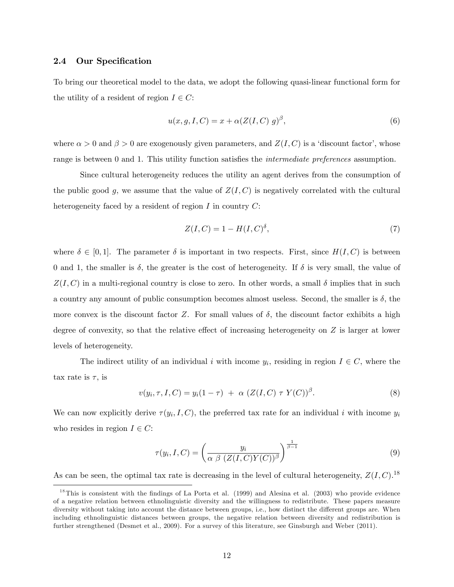#### 2.4 Our Specification

To bring our theoretical model to the data, we adopt the following quasi-linear functional form for the utility of a resident of region  $I \in C$ :

$$
u(x, g, I, C) = x + \alpha (Z(I, C) g)^{\beta}, \qquad (6)
$$

where  $\alpha > 0$  and  $\beta > 0$  are exogenously given parameters, and  $Z(I, C)$  is a 'discount factor', whose range is between 0 and 1. This utility function satisfies the *intermediate preferences* assumption.

Since cultural heterogeneity reduces the utility an agent derives from the consumption of the public good g, we assume that the value of  $Z(I, C)$  is negatively correlated with the cultural heterogeneity faced by a resident of region  $I$  in country  $C$ :

$$
Z(I,C) = 1 - H(I,C)^{\delta},\tag{7}
$$

where  $\delta \in [0, 1]$ . The parameter  $\delta$  is important in two respects. First, since  $H(I, C)$  is between 0 and 1, the smaller is  $\delta$ , the greater is the cost of heterogeneity. If  $\delta$  is very small, the value of  $Z(I, C)$  in a multi-regional country is close to zero. In other words, a small  $\delta$  implies that in such a country any amount of public consumption becomes almost useless. Second, the smaller is  $\delta$ , the more convex is the discount factor Z. For small values of  $\delta$ , the discount factor exhibits a high degree of convexity, so that the relative effect of increasing heterogeneity on  $Z$  is larger at lower levels of heterogeneity.

The indirect utility of an individual i with income  $y_i$ , residing in region  $I \in C$ , where the tax rate is  $\tau$ , is

$$
v(y_i, \tau, I, C) = y_i(1 - \tau) + \alpha (Z(I, C) \tau Y(C))^{\beta}.
$$
 (8)

We can now explicitly derive  $\tau(y_i, I, C)$ , the preferred tax rate for an individual i with income  $y_i$ who resides in region  $I \in C$ :

$$
\tau(y_i, I, C) = \left(\frac{y_i}{\alpha \beta \ (Z(I, C)Y(C))^{\beta}}\right)^{\frac{1}{\beta - 1}}
$$
\n(9)

As can be seen, the optimal tax rate is decreasing in the level of cultural heterogeneity,  $Z(I, C)$ .<sup>18</sup>

<sup>&</sup>lt;sup>18</sup>This is consistent with the findings of La Porta et al. (1999) and Alesina et al. (2003) who provide evidence of a negative relation between ethnolinguistic diversity and the willingness to redistribute. These papers measure diversity without taking into account the distance between groups, i.e., how distinct the different groups are. When including ethnolinguistic distances between groups, the negative relation between diversity and redistribution is further strengthened (Desmet et al., 2009). For a survey of this literature, see Ginsburgh and Weber (2011).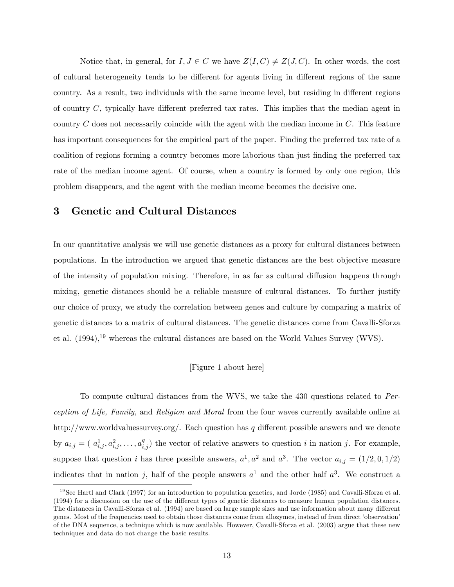Notice that, in general, for  $I, J \in C$  we have  $Z(I, C) \neq Z(J, C)$ . In other words, the cost of cultural heterogeneity tends to be different for agents living in different regions of the same country. As a result, two individuals with the same income level, but residing in different regions of country  $C$ , typically have different preferred tax rates. This implies that the median agent in country  $C$  does not necessarily coincide with the agent with the median income in  $C$ . This feature has important consequences for the empirical part of the paper. Finding the preferred tax rate of a coalition of regions forming a country becomes more laborious than just Önding the preferred tax rate of the median income agent. Of course, when a country is formed by only one region, this problem disappears, and the agent with the median income becomes the decisive one.

### 3 Genetic and Cultural Distances

In our quantitative analysis we will use genetic distances as a proxy for cultural distances between populations. In the introduction we argued that genetic distances are the best objective measure of the intensity of population mixing. Therefore, in as far as cultural diffusion happens through mixing, genetic distances should be a reliable measure of cultural distances. To further justify our choice of proxy, we study the correlation between genes and culture by comparing a matrix of genetic distances to a matrix of cultural distances. The genetic distances come from Cavalli-Sforza et al.  $(1994)$ ,<sup>19</sup> whereas the cultural distances are based on the World Values Survey (WVS).

#### [Figure 1 about here]

To compute cultural distances from the WVS, we take the 430 questions related to Perception of Life, Family, and Religion and Moral from the four waves currently available online at http://www.worldvaluessurvey.org/. Each question has  $q$  different possible answers and we denote by  $a_{i,j} = (a_{i,j}^1, a_{i,j}^2, \ldots, a_{i,j}^q)$  the vector of relative answers to question i in nation j. For example, suppose that question *i* has three possible answers,  $a^1, a^2$  and  $a^3$ . The vector  $a_{i,j} = (1/2, 0, 1/2)$ indicates that in nation j, half of the people answers  $a^1$  and the other half  $a^3$ . We construct a

 $19$  See Hartl and Clark (1997) for an introduction to population genetics, and Jorde (1985) and Cavalli-Sforza et al. (1994) for a discussion on the use of the different types of genetic distances to measure human population distances. The distances in Cavalli-Sforza et al. (1994) are based on large sample sizes and use information about many different genes. Most of the frequencies used to obtain those distances come from allozymes, instead of from direct 'observation' of the DNA sequence, a technique which is now available. However, Cavalli-Sforza et al. (2003) argue that these new techniques and data do not change the basic results.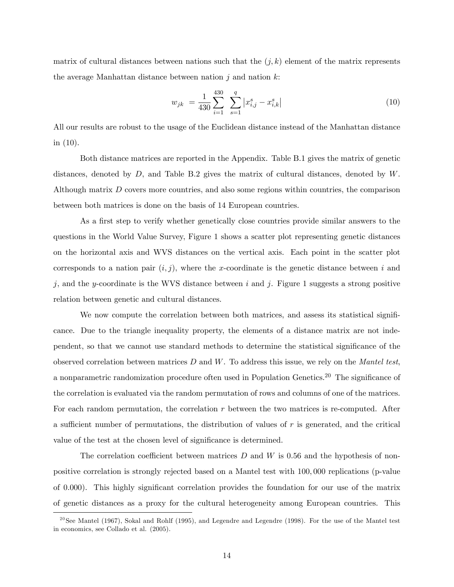matrix of cultural distances between nations such that the  $(j, k)$  element of the matrix represents the average Manhattan distance between nation  $j$  and nation  $k$ :

$$
w_{jk} = \frac{1}{430} \sum_{i=1}^{430} \sum_{s=1}^{q} |x_{i,j}^s - x_{i,k}^s|
$$
\n(10)

All our results are robust to the usage of the Euclidean distance instead of the Manhattan distance in (10).

Both distance matrices are reported in the Appendix. Table B.1 gives the matrix of genetic distances, denoted by  $D$ , and Table B.2 gives the matrix of cultural distances, denoted by  $W$ . Although matrix D covers more countries, and also some regions within countries, the comparison between both matrices is done on the basis of 14 European countries.

As a first step to verify whether genetically close countries provide similar answers to the questions in the World Value Survey, Figure 1 shows a scatter plot representing genetic distances on the horizontal axis and WVS distances on the vertical axis. Each point in the scatter plot corresponds to a nation pair  $(i, j)$ , where the x-coordinate is the genetic distance between i and j, and the y-coordinate is the WVS distance between i and j. Figure 1 suggests a strong positive relation between genetic and cultural distances.

We now compute the correlation between both matrices, and assess its statistical significance. Due to the triangle inequality property, the elements of a distance matrix are not independent, so that we cannot use standard methods to determine the statistical significance of the observed correlation between matrices  $D$  and  $W$ . To address this issue, we rely on the *Mantel test*, a nonparametric randomization procedure often used in Population Genetics.<sup>20</sup> The significance of the correlation is evaluated via the random permutation of rows and columns of one of the matrices. For each random permutation, the correlation r between the two matrices is re-computed. After a sufficient number of permutations, the distribution of values of  $r$  is generated, and the critical value of the test at the chosen level of significance is determined.

The correlation coefficient between matrices  $D$  and  $W$  is 0.56 and the hypothesis of nonpositive correlation is strongly rejected based on a Mantel test with 100; 000 replications (p-value of 0.000). This highly significant correlation provides the foundation for our use of the matrix of genetic distances as a proxy for the cultural heterogeneity among European countries. This

 $^{20}$ See Mantel (1967), Sokal and Rohlf (1995), and Legendre and Legendre (1998). For the use of the Mantel test in economics, see Collado et al. (2005).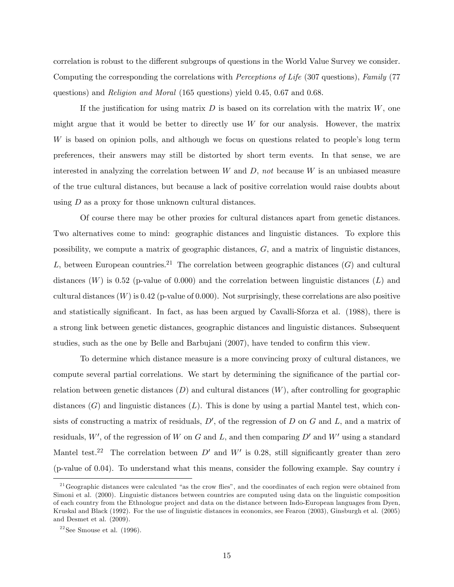correlation is robust to the different subgroups of questions in the World Value Survey we consider. Computing the corresponding the correlations with *Perceptions of Life* (307 questions), Family (77 questions) and Religion and Moral (165 questions) yield 0.45, 0.67 and 0.68.

If the justification for using matrix  $D$  is based on its correlation with the matrix  $W$ , one might argue that it would be better to directly use  $W$  for our analysis. However, the matrix  $W$  is based on opinion polls, and although we focus on questions related to people's long term preferences, their answers may still be distorted by short term events. In that sense, we are interested in analyzing the correlation between  $W$  and  $D$ , not because  $W$  is an unbiased measure of the true cultural distances, but because a lack of positive correlation would raise doubts about using  $D$  as a proxy for those unknown cultural distances.

Of course there may be other proxies for cultural distances apart from genetic distances. Two alternatives come to mind: geographic distances and linguistic distances. To explore this possibility, we compute a matrix of geographic distances, G, and a matrix of linguistic distances, L, between European countries.<sup>21</sup> The correlation between geographic distances  $(G)$  and cultural distances  $(W)$  is 0.52 (p-value of 0.000) and the correlation between linguistic distances  $(L)$  and cultural distances  $(W)$  is 0.42 (p-value of 0.000). Not surprisingly, these correlations are also positive and statistically significant. In fact, as has been argued by Cavalli-Sforza et al. (1988), there is a strong link between genetic distances, geographic distances and linguistic distances. Subsequent studies, such as the one by Belle and Barbujani (2007), have tended to confirm this view.

To determine which distance measure is a more convincing proxy of cultural distances, we compute several partial correlations. We start by determining the significance of the partial correlation between genetic distances  $(D)$  and cultural distances  $(W)$ , after controlling for geographic distances  $(G)$  and linguistic distances  $(L)$ . This is done by using a partial Mantel test, which consists of constructing a matrix of residuals,  $D'$ , of the regression of D on G and L, and a matrix of residuals, W', of the regression of W on G and L, and then comparing  $D'$  and W' using a standard Mantel test.<sup>22</sup> The correlation between  $D'$  and  $W'$  is 0.28, still significantly greater than zero (p-value of 0.04). To understand what this means, consider the following example. Say country  $i$ 

 $21$  Geographic distances were calculated "as the crow flies", and the coordinates of each region were obtained from Simoni et al. (2000). Linguistic distances between countries are computed using data on the linguistic composition of each country from the Ethnologue project and data on the distance between Indo-European languages from Dyen, Kruskal and Black (1992). For the use of linguistic distances in economics, see Fearon (2003), Ginsburgh et al. (2005) and Desmet et al. (2009).

 $22$ See Smouse et al. (1996).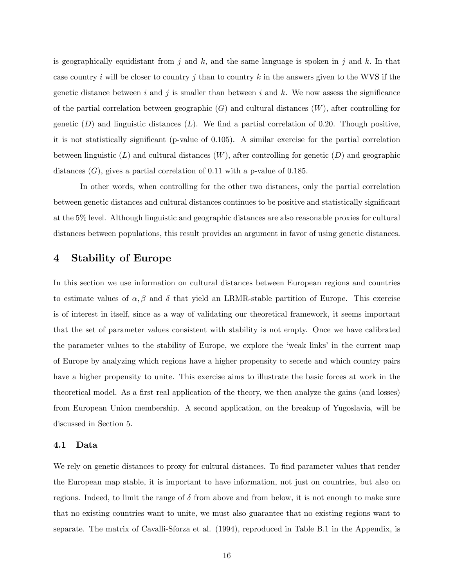is geographically equidistant from j and k, and the same language is spoken in j and k. In that case country i will be closer to country j than to country k in the answers given to the WVS if the genetic distance between i and j is smaller than between i and k. We now assess the significance of the partial correlation between geographic  $(G)$  and cultural distances  $(W)$ , after controlling for genetic  $(D)$  and linguistic distances  $(L)$ . We find a partial correlation of 0.20. Though positive, it is not statistically significant (p-value of  $0.105$ ). A similar exercise for the partial correlation between linguistic  $(L)$  and cultural distances  $(W)$ , after controlling for genetic  $(D)$  and geographic distances  $(G)$ , gives a partial correlation of 0.11 with a p-value of 0.185.

In other words, when controlling for the other two distances, only the partial correlation between genetic distances and cultural distances continues to be positive and statistically significant at the 5% level. Although linguistic and geographic distances are also reasonable proxies for cultural distances between populations, this result provides an argument in favor of using genetic distances.

# 4 Stability of Europe

In this section we use information on cultural distances between European regions and countries to estimate values of  $\alpha, \beta$  and  $\delta$  that yield an LRMR-stable partition of Europe. This exercise is of interest in itself, since as a way of validating our theoretical framework, it seems important that the set of parameter values consistent with stability is not empty. Once we have calibrated the parameter values to the stability of Europe, we explore the 'weak links' in the current map of Europe by analyzing which regions have a higher propensity to secede and which country pairs have a higher propensity to unite. This exercise aims to illustrate the basic forces at work in the theoretical model. As a first real application of the theory, we then analyze the gains (and losses) from European Union membership. A second application, on the breakup of Yugoslavia, will be discussed in Section 5.

#### 4.1 Data

We rely on genetic distances to proxy for cultural distances. To find parameter values that render the European map stable, it is important to have information, not just on countries, but also on regions. Indeed, to limit the range of  $\delta$  from above and from below, it is not enough to make sure that no existing countries want to unite, we must also guarantee that no existing regions want to separate. The matrix of Cavalli-Sforza et al. (1994), reproduced in Table B.1 in the Appendix, is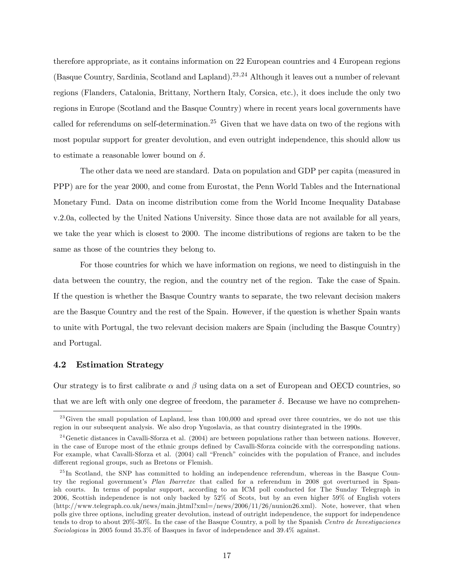therefore appropriate, as it contains information on 22 European countries and 4 European regions (Basque Country, Sardinia, Scotland and Lapland).23;<sup>24</sup> Although it leaves out a number of relevant regions (Flanders, Catalonia, Brittany, Northern Italy, Corsica, etc.), it does include the only two regions in Europe (Scotland and the Basque Country) where in recent years local governments have called for referendums on self-determination.<sup>25</sup> Given that we have data on two of the regions with most popular support for greater devolution, and even outright independence, this should allow us to estimate a reasonable lower bound on  $\delta$ .

The other data we need are standard. Data on population and GDP per capita (measured in PPP) are for the year 2000, and come from Eurostat, the Penn World Tables and the International Monetary Fund. Data on income distribution come from the World Income Inequality Database v.2.0a, collected by the United Nations University. Since those data are not available for all years, we take the year which is closest to 2000. The income distributions of regions are taken to be the same as those of the countries they belong to.

For those countries for which we have information on regions, we need to distinguish in the data between the country, the region, and the country net of the region. Take the case of Spain. If the question is whether the Basque Country wants to separate, the two relevant decision makers are the Basque Country and the rest of the Spain. However, if the question is whether Spain wants to unite with Portugal, the two relevant decision makers are Spain (including the Basque Country) and Portugal.

### 4.2 Estimation Strategy

Our strategy is to first calibrate  $\alpha$  and  $\beta$  using data on a set of European and OECD countries, so that we are left with only one degree of freedom, the parameter  $\delta$ . Because we have no comprehen-

 $^{23}$  Given the small population of Lapland, less than 100,000 and spread over three countries, we do not use this region in our subsequent analysis. We also drop Yugoslavia, as that country disintegrated in the 1990s.

 $^{24}$ Genetic distances in Cavalli-Sforza et al. (2004) are between populations rather than between nations. However, in the case of Europe most of the ethnic groups defined by Cavalli-Sforza coincide with the corresponding nations. For example, what Cavalli-Sforza et al. (2004) call "French" coincides with the population of France, and includes different regional groups, such as Bretons or Flemish.

 $^{25}$ In Scotland, the SNP has committed to holding an independence referendum, whereas in the Basque Country the regional government's Plan Ibarretxe that called for a referendum in 2008 got overturned in Spanish courts. In terms of popular support, according to an ICM poll conducted for The Sunday Telegraph in 2006, Scottish independence is not only backed by 52% of Scots, but by an even higher 59% of English voters (http://www.telegraph.co.uk/news/main.jhtml?xml=/news/2006/11/26/nunion26.xml). Note, however, that when polls give three options, including greater devolution, instead of outright independence, the support for independence tends to drop to about 20%-30%. In the case of the Basque Country, a poll by the Spanish Centro de Investigaciones Sociologicas in 2005 found 35.3% of Basques in favor of independence and 39.4% against.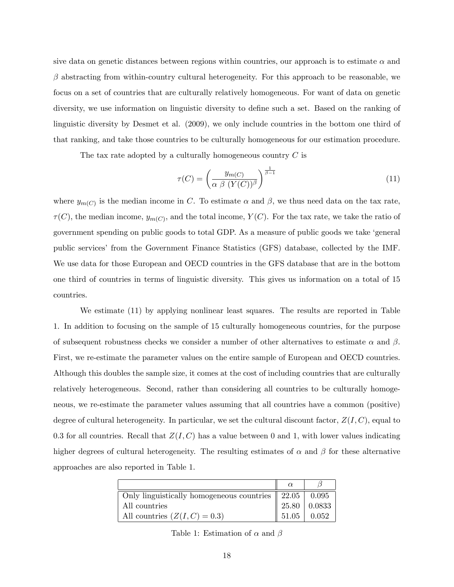sive data on genetic distances between regions within countries, our approach is to estimate  $\alpha$  and  $\beta$  abstracting from within-country cultural heterogeneity. For this approach to be reasonable, we focus on a set of countries that are culturally relatively homogeneous. For want of data on genetic diversity, we use information on linguistic diversity to define such a set. Based on the ranking of linguistic diversity by Desmet et al. (2009), we only include countries in the bottom one third of that ranking, and take those countries to be culturally homogeneous for our estimation procedure.

The tax rate adopted by a culturally homogeneous country  $C$  is

$$
\tau(C) = \left(\frac{y_{m(C)}}{\alpha \beta \ (Y(C))^{\beta}}\right)^{\frac{1}{\beta - 1}}\tag{11}
$$

where  $y_{m(C)}$  is the median income in C. To estimate  $\alpha$  and  $\beta$ , we thus need data on the tax rate,  $\tau(C)$ , the median income,  $y_{m(C)}$ , and the total income,  $Y(C)$ . For the tax rate, we take the ratio of government spending on public goods to total GDP. As a measure of public goods we take ëgeneral public servicesí from the Government Finance Statistics (GFS) database, collected by the IMF. We use data for those European and OECD countries in the GFS database that are in the bottom one third of countries in terms of linguistic diversity. This gives us information on a total of 15 countries.

We estimate (11) by applying nonlinear least squares. The results are reported in Table 1. In addition to focusing on the sample of 15 culturally homogeneous countries, for the purpose of subsequent robustness checks we consider a number of other alternatives to estimate  $\alpha$  and  $\beta$ . First, we re-estimate the parameter values on the entire sample of European and OECD countries. Although this doubles the sample size, it comes at the cost of including countries that are culturally relatively heterogeneous. Second, rather than considering all countries to be culturally homogeneous, we re-estimate the parameter values assuming that all countries have a common (positive) degree of cultural heterogeneity. In particular, we set the cultural discount factor,  $Z(I, C)$ , equal to 0.3 for all countries. Recall that  $Z(I, C)$  has a value between 0 and 1, with lower values indicating higher degrees of cultural heterogeneity. The resulting estimates of  $\alpha$  and  $\beta$  for these alternative approaches are also reported in Table 1.

| Only linguistically homogeneous countries $\parallel$ 22.05 $\parallel$ 0.095 |                                     |                     |
|-------------------------------------------------------------------------------|-------------------------------------|---------------------|
| All countries                                                                 |                                     | $25.80 \mid 0.0833$ |
| All countries $(Z(I, C) = 0.3)$                                               | $\parallel$ 51.05 $\parallel$ 0.052 |                     |

Table 1: Estimation of  $\alpha$  and  $\beta$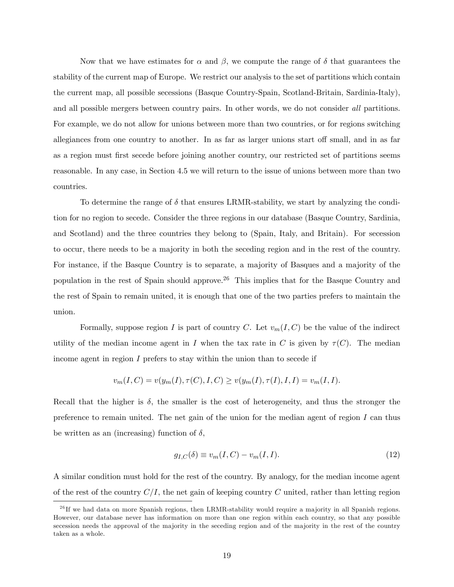Now that we have estimates for  $\alpha$  and  $\beta$ , we compute the range of  $\delta$  that guarantees the stability of the current map of Europe. We restrict our analysis to the set of partitions which contain the current map, all possible secessions (Basque Country-Spain, Scotland-Britain, Sardinia-Italy), and all possible mergers between country pairs. In other words, we do not consider all partitions. For example, we do not allow for unions between more than two countries, or for regions switching allegiances from one country to another. In as far as larger unions start off small, and in as far as a region must first secede before joining another country, our restricted set of partitions seems reasonable. In any case, in Section 4.5 we will return to the issue of unions between more than two countries.

To determine the range of  $\delta$  that ensures LRMR-stability, we start by analyzing the condition for no region to secede. Consider the three regions in our database (Basque Country, Sardinia, and Scotland) and the three countries they belong to (Spain, Italy, and Britain). For secession to occur, there needs to be a majority in both the seceding region and in the rest of the country. For instance, if the Basque Country is to separate, a majority of Basques and a majority of the population in the rest of Spain should approve.<sup>26</sup> This implies that for the Basque Country and the rest of Spain to remain united, it is enough that one of the two parties prefers to maintain the union.

Formally, suppose region I is part of country C. Let  $v_m(I, C)$  be the value of the indirect utility of the median income agent in I when the tax rate in C is given by  $\tau(C)$ . The median income agent in region  $I$  prefers to stay within the union than to secede if

$$
v_m(I, C) = v(y_m(I), \tau(C), I, C) \ge v(y_m(I), \tau(I), I, I) = v_m(I, I).
$$

Recall that the higher is  $\delta$ , the smaller is the cost of heterogeneity, and thus the stronger the preference to remain united. The net gain of the union for the median agent of region I can thus be written as an (increasing) function of  $\delta$ ,

$$
g_{I,C}(\delta) \equiv v_m(I,C) - v_m(I,I). \tag{12}
$$

A similar condition must hold for the rest of the country. By analogy, for the median income agent of the rest of the country  $C/I$ , the net gain of keeping country C united, rather than letting region

 $^{26}$ If we had data on more Spanish regions, then LRMR-stability would require a majority in all Spanish regions. However, our database never has information on more than one region within each country, so that any possible secession needs the approval of the majority in the seceding region and of the majority in the rest of the country taken as a whole.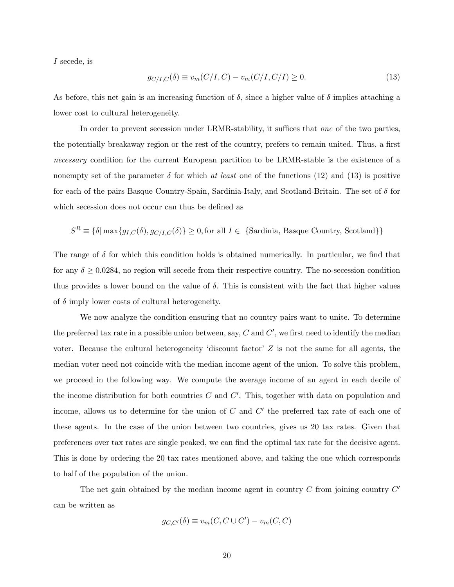I secede, is

$$
g_{C/I,C}(\delta) \equiv v_m(C/I, C) - v_m(C/I, C/I) \ge 0.
$$
 (13)

As before, this net gain is an increasing function of  $\delta$ , since a higher value of  $\delta$  implies attaching a lower cost to cultural heterogeneity.

In order to prevent secession under LRMR-stability, it suffices that *one* of the two parties, the potentially breakaway region or the rest of the country, prefers to remain united. Thus, a first necessary condition for the current European partition to be LRMR-stable is the existence of a nonempty set of the parameter  $\delta$  for which at least one of the functions (12) and (13) is positive for each of the pairs Basque Country-Spain, Sardinia-Italy, and Scotland-Britain. The set of  $\delta$  for which secession does not occur can thus be defined as

$$
S^{R} \equiv \{ \delta | \max \{ g_{I,C}(\delta), g_{C/I,C}(\delta) \} \ge 0, \text{for all } I \in \{ \text{Sardinia, Basque Country, Scotland} \} \}
$$

The range of  $\delta$  for which this condition holds is obtained numerically. In particular, we find that for any  $\delta \geq 0.0284$ , no region will secede from their respective country. The no-secession condition thus provides a lower bound on the value of  $\delta$ . This is consistent with the fact that higher values of  $\delta$  imply lower costs of cultural heterogeneity.

We now analyze the condition ensuring that no country pairs want to unite. To determine the preferred tax rate in a possible union between, say,  $C$  and  $C'$ , we first need to identify the median voter. Because the cultural heterogeneity 'discount factor'  $Z$  is not the same for all agents, the median voter need not coincide with the median income agent of the union. To solve this problem, we proceed in the following way. We compute the average income of an agent in each decile of the income distribution for both countries C and  $C'$ . This, together with data on population and income, allows us to determine for the union of  $C$  and  $C'$  the preferred tax rate of each one of these agents. In the case of the union between two countries, gives us 20 tax rates. Given that preferences over tax rates are single peaked, we can find the optimal tax rate for the decisive agent. This is done by ordering the 20 tax rates mentioned above, and taking the one which corresponds to half of the population of the union.

The net gain obtained by the median income agent in country  $C$  from joining country  $C'$ can be written as

$$
g_{C,C'}(\delta) \equiv v_m(C, C \cup C') - v_m(C, C)
$$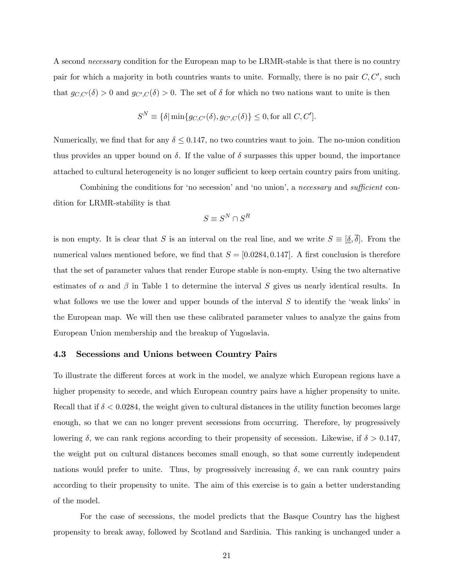A second necessary condition for the European map to be LRMR-stable is that there is no country pair for which a majority in both countries wants to unite. Formally, there is no pair  $C, C'$ , such that  $g_{C,C'}(\delta) > 0$  and  $g_{C',C}(\delta) > 0$ . The set of  $\delta$  for which no two nations want to unite is then

$$
S^N \equiv \{ \delta | \min \{ g_{C,C'}(\delta), g_{C',C}(\delta) \} \le 0, \text{for all } C, C' \}.
$$

Numerically, we find that for any  $\delta \leq 0.147$ , no two countries want to join. The no-union condition thus provides an upper bound on  $\delta$ . If the value of  $\delta$  surpasses this upper bound, the importance attached to cultural heterogeneity is no longer sufficient to keep certain country pairs from uniting.

Combining the conditions for 'no secession' and 'no union', a necessary and sufficient condition for LRMR-stability is that

$$
S \equiv S^N \cap S^R
$$

is non empty. It is clear that S is an interval on the real line, and we write  $S \equiv [\underline{\delta}, \overline{\delta}]$ . From the numerical values mentioned before, we find that  $S = [0.0284, 0.147]$ . A first conclusion is therefore that the set of parameter values that render Europe stable is non-empty. Using the two alternative estimates of  $\alpha$  and  $\beta$  in Table 1 to determine the interval S gives us nearly identical results. In what follows we use the lower and upper bounds of the interval  $S$  to identify the 'weak links' in the European map. We will then use these calibrated parameter values to analyze the gains from European Union membership and the breakup of Yugoslavia.

### 4.3 Secessions and Unions between Country Pairs

To illustrate the different forces at work in the model, we analyze which European regions have a higher propensity to secede, and which European country pairs have a higher propensity to unite. Recall that if  $\delta < 0.0284$ , the weight given to cultural distances in the utility function becomes large enough, so that we can no longer prevent secessions from occurring. Therefore, by progressively lowering  $\delta$ , we can rank regions according to their propensity of secession. Likewise, if  $\delta > 0.147$ , the weight put on cultural distances becomes small enough, so that some currently independent nations would prefer to unite. Thus, by progressively increasing  $\delta$ , we can rank country pairs according to their propensity to unite. The aim of this exercise is to gain a better understanding of the model.

For the case of secessions, the model predicts that the Basque Country has the highest propensity to break away, followed by Scotland and Sardinia. This ranking is unchanged under a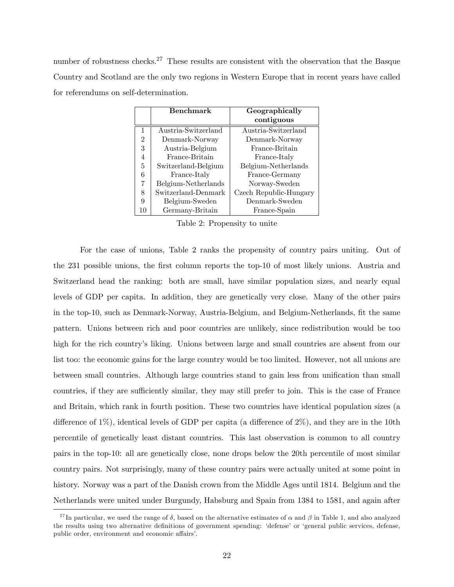number of robustness checks.<sup>27</sup> These results are consistent with the observation that the Basque Country and Scotland are the only two regions in Western Europe that in recent years have called for referendums on self-determination.

|                | <b>Benchmark</b>    | Geographically         |
|----------------|---------------------|------------------------|
|                |                     | contiguous             |
| 1              | Austria-Switzerland | Austria-Switzerland    |
| $\overline{2}$ | Denmark-Norway      | Denmark-Norway         |
| 3              | Austria-Belgium     | France-Britain         |
| 4              | France-Britain      | France-Italy           |
| 5              | Switzerland-Belgium | Belgium-Netherlands    |
| 6              | France-Italy        | France-Germany         |
| 7              | Belgium-Netherlands | Norway-Sweden          |
| 8              | Switzerland-Denmark | Czech Republic-Hungary |
| 9              | Belgium-Sweden      | Denmark-Sweden         |
| 10             | Germany-Britain     | France-Spain           |

Table 2: Propensity to unite

For the case of unions, Table 2 ranks the propensity of country pairs uniting. Out of the 231 possible unions, the first column reports the top-10 of most likely unions. Austria and Switzerland head the ranking: both are small, have similar population sizes, and nearly equal levels of GDP per capita. In addition, they are genetically very close. Many of the other pairs in the top-10, such as Denmark-Norway, Austria-Belgium, and Belgium-Netherlands, fit the same pattern. Unions between rich and poor countries are unlikely, since redistribution would be too high for the rich country's liking. Unions between large and small countries are absent from our list too: the economic gains for the large country would be too limited. However, not all unions are between small countries. Although large countries stand to gain less from unification than small countries, if they are sufficiently similar, they may still prefer to join. This is the case of France and Britain, which rank in fourth position. These two countries have identical population sizes (a difference of  $1\%$ ), identical levels of GDP per capita (a difference of  $2\%$ ), and they are in the 10th percentile of genetically least distant countries. This last observation is common to all country pairs in the top-10: all are genetically close, none drops below the 20th percentile of most similar country pairs. Not surprisingly, many of these country pairs were actually united at some point in history. Norway was a part of the Danish crown from the Middle Ages until 1814. Belgium and the Netherlands were united under Burgundy, Habsburg and Spain from 1384 to 1581, and again after

<sup>&</sup>lt;sup>27</sup>In particular, we used the range of  $\delta$ , based on the alternative estimates of  $\alpha$  and  $\beta$  in Table 1, and also analyzed the results using two alternative definitions of government spending: 'defense' or 'general public services, defense, public order, environment and economic affairs'.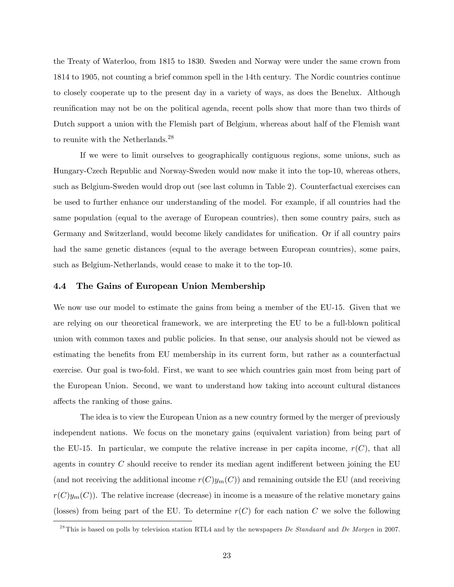the Treaty of Waterloo, from 1815 to 1830. Sweden and Norway were under the same crown from 1814 to 1905, not counting a brief common spell in the 14th century. The Nordic countries continue to closely cooperate up to the present day in a variety of ways, as does the Benelux. Although reunification may not be on the political agenda, recent polls show that more than two thirds of Dutch support a union with the Flemish part of Belgium, whereas about half of the Flemish want to reunite with the Netherlands.<sup>28</sup>

If we were to limit ourselves to geographically contiguous regions, some unions, such as Hungary-Czech Republic and Norway-Sweden would now make it into the top-10, whereas others, such as Belgium-Sweden would drop out (see last column in Table 2). Counterfactual exercises can be used to further enhance our understanding of the model. For example, if all countries had the same population (equal to the average of European countries), then some country pairs, such as Germany and Switzerland, would become likely candidates for unification. Or if all country pairs had the same genetic distances (equal to the average between European countries), some pairs, such as Belgium-Netherlands, would cease to make it to the top-10.

#### 4.4 The Gains of European Union Membership

We now use our model to estimate the gains from being a member of the EU-15. Given that we are relying on our theoretical framework, we are interpreting the EU to be a full-blown political union with common taxes and public policies. In that sense, our analysis should not be viewed as estimating the benefits from EU membership in its current form, but rather as a counterfactual exercise. Our goal is two-fold. First, we want to see which countries gain most from being part of the European Union. Second, we want to understand how taking into account cultural distances affects the ranking of those gains.

The idea is to view the European Union as a new country formed by the merger of previously independent nations. We focus on the monetary gains (equivalent variation) from being part of the EU-15. In particular, we compute the relative increase in per capita income,  $r(C)$ , that all agents in country  $C$  should receive to render its median agent indifferent between joining the EU (and not receiving the additional income  $r(C)y_m(C)$ ) and remaining outside the EU (and receiving  $r(C)y_m(C)$ . The relative increase (decrease) in income is a measure of the relative monetary gains (losses) from being part of the EU. To determine  $r(C)$  for each nation C we solve the following

<sup>&</sup>lt;sup>28</sup>This is based on polls by television station RTL4 and by the newspapers De Standaard and De Morgen in 2007.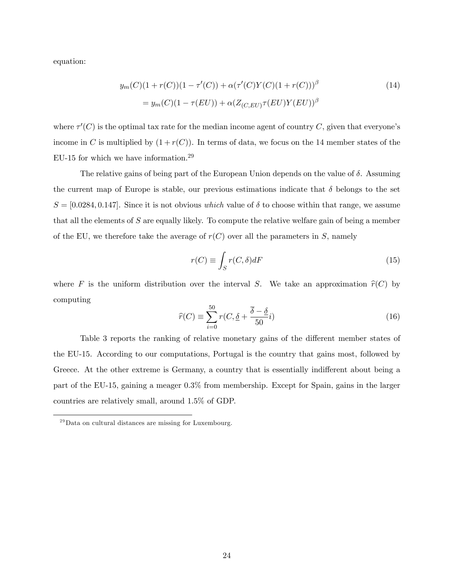equation:

$$
y_m(C)(1 + r(C))(1 - \tau'(C)) + \alpha(\tau'(C)Y(C)(1 + r(C)))^{\beta}
$$
  
= 
$$
y_m(C)(1 - \tau(EU)) + \alpha(Z_{(C, EU)}\tau(EU)Y(EU))^{\beta}
$$
 (14)

where  $\tau'(C)$  is the optimal tax rate for the median income agent of country C, given that everyone's income in C is multiplied by  $(1 + r(C))$ . In terms of data, we focus on the 14 member states of the EU-15 for which we have information.<sup>29</sup>

The relative gains of being part of the European Union depends on the value of  $\delta$ . Assuming the current map of Europe is stable, our previous estimations indicate that  $\delta$  belongs to the set  $S = [0.0284, 0.147]$ . Since it is not obvious which value of  $\delta$  to choose within that range, we assume that all the elements of S are equally likely. To compute the relative welfare gain of being a member of the EU, we therefore take the average of  $r(C)$  over all the parameters in S, namely

$$
r(C) \equiv \int_{S} r(C, \delta) dF \tag{15}
$$

where F is the uniform distribution over the interval S. We take an approximation  $\hat{r}(C)$  by computing

$$
\widehat{r}(C) \equiv \sum_{i=0}^{50} r(C, \underline{\delta} + \frac{\overline{\delta} - \underline{\delta}}{50}i)
$$
\n(16)

Table 3 reports the ranking of relative monetary gains of the different member states of the EU-15. According to our computations, Portugal is the country that gains most, followed by Greece. At the other extreme is Germany, a country that is essentially indifferent about being a part of the EU-15, gaining a meager 0.3% from membership. Except for Spain, gains in the larger countries are relatively small, around 1.5% of GDP.

 $^{29}$ Data on cultural distances are missing for Luxembourg.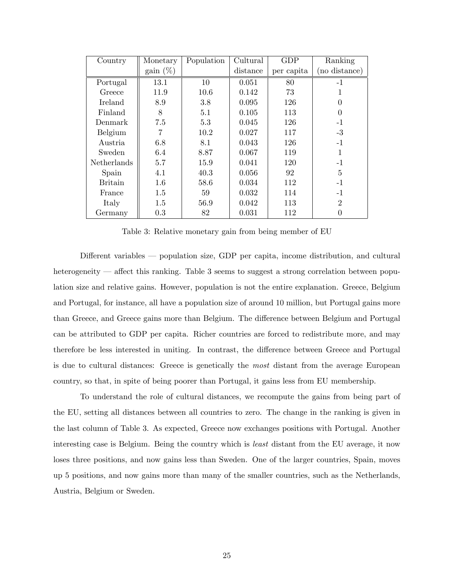| Country            | Monetary    | Population | Cultural | <b>GDP</b> | Ranking        |
|--------------------|-------------|------------|----------|------------|----------------|
|                    | gain $(\%)$ |            | distance | per capita | (no distance)  |
| Portugal           | 13.1        | 10         | 0.051    | 80         | $-1$           |
| Greece             | 11.9        | 10.6       | 0.142    | 73         |                |
| <b>Ireland</b>     | 8.9         | 3.8        | 0.095    | 126        | 0              |
| Finland            | 8           | 5.1        | 0.105    | 113        | $\theta$       |
| Denmark            | 7.5         | 5.3        | 0.045    | 126        | $-1$           |
| Belgium            | 7           | 10.2       | 0.027    | 117        | $-3$           |
| Austria            | 6.8         | 8.1        | 0.043    | 126        | $-1$           |
| Sweden             | 6.4         | 8.87       | 0.067    | 119        | 1              |
| <b>Netherlands</b> | 5.7         | 15.9       | 0.041    | 120        | $-1$           |
| Spain              | 4.1         | 40.3       | 0.056    | 92         | 5              |
| <b>Britain</b>     | 1.6         | 58.6       | 0.034    | 112        | $-1$           |
| France             | $1.5\,$     | 59         | 0.032    | 114        | $-1$           |
| Italy              | $1.5\,$     | 56.9       | 0.042    | 113        | $\overline{2}$ |
| Germany            | 0.3         | 82         | 0.031    | 112        | 0              |

Table 3: Relative monetary gain from being member of EU

Different variables – population size, GDP per capita, income distribution, and cultural heterogeneity  $\sim$  affect this ranking. Table 3 seems to suggest a strong correlation between population size and relative gains. However, population is not the entire explanation. Greece, Belgium and Portugal, for instance, all have a population size of around 10 million, but Portugal gains more than Greece, and Greece gains more than Belgium. The difference between Belgium and Portugal can be attributed to GDP per capita. Richer countries are forced to redistribute more, and may therefore be less interested in uniting. In contrast, the difference between Greece and Portugal is due to cultural distances: Greece is genetically the most distant from the average European country, so that, in spite of being poorer than Portugal, it gains less from EU membership.

To understand the role of cultural distances, we recompute the gains from being part of the EU, setting all distances between all countries to zero. The change in the ranking is given in the last column of Table 3. As expected, Greece now exchanges positions with Portugal. Another interesting case is Belgium. Being the country which is least distant from the EU average, it now loses three positions, and now gains less than Sweden. One of the larger countries, Spain, moves up 5 positions, and now gains more than many of the smaller countries, such as the Netherlands, Austria, Belgium or Sweden.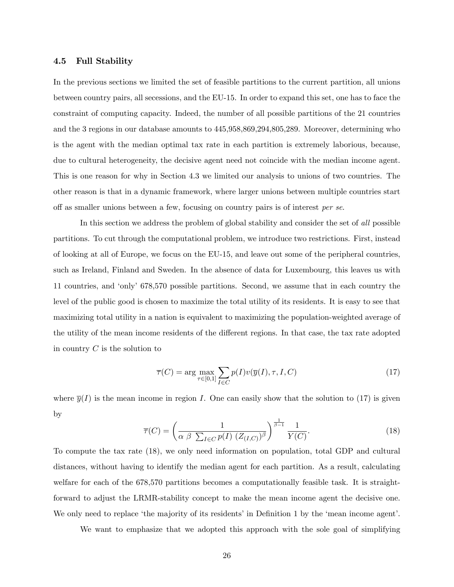### 4.5 Full Stability

In the previous sections we limited the set of feasible partitions to the current partition, all unions between country pairs, all secessions, and the EU-15. In order to expand this set, one has to face the constraint of computing capacity. Indeed, the number of all possible partitions of the 21 countries and the 3 regions in our database amounts to 445,958,869,294,805,289. Moreover, determining who is the agent with the median optimal tax rate in each partition is extremely laborious, because, due to cultural heterogeneity, the decisive agent need not coincide with the median income agent. This is one reason for why in Section 4.3 we limited our analysis to unions of two countries. The other reason is that in a dynamic framework, where larger unions between multiple countries start off as smaller unions between a few, focusing on country pairs is of interest *per se*.

In this section we address the problem of global stability and consider the set of all possible partitions. To cut through the computational problem, we introduce two restrictions. First, instead of looking at all of Europe, we focus on the EU-15, and leave out some of the peripheral countries, such as Ireland, Finland and Sweden. In the absence of data for Luxembourg, this leaves us with 11 countries, and ëonlyí 678,570 possible partitions. Second, we assume that in each country the level of the public good is chosen to maximize the total utility of its residents. It is easy to see that maximizing total utility in a nation is equivalent to maximizing the population-weighted average of the utility of the mean income residents of the different regions. In that case, the tax rate adopted in country  $C$  is the solution to

$$
\overline{\tau}(C) = \arg \max_{\tau \in [0,1]} \sum_{I \in C} p(I)v(\overline{y}(I), \tau, I, C)
$$
\n(17)

where  $\overline{y}(I)$  is the mean income in region I. One can easily show that the solution to (17) is given by

$$
\overline{\tau}(C) = \left(\frac{1}{\alpha \beta \sum_{I \in C} p(I) \ (Z_{(I,C)})^{\beta}}\right)^{\frac{1}{\beta - 1}} \frac{1}{Y(C)}.
$$
\n(18)

To compute the tax rate (18), we only need information on population, total GDP and cultural distances, without having to identify the median agent for each partition. As a result, calculating welfare for each of the 678,570 partitions becomes a computationally feasible task. It is straightforward to adjust the LRMR-stability concept to make the mean income agent the decisive one. We only need to replace 'the majority of its residents' in Definition 1 by the 'mean income agent'.

We want to emphasize that we adopted this approach with the sole goal of simplifying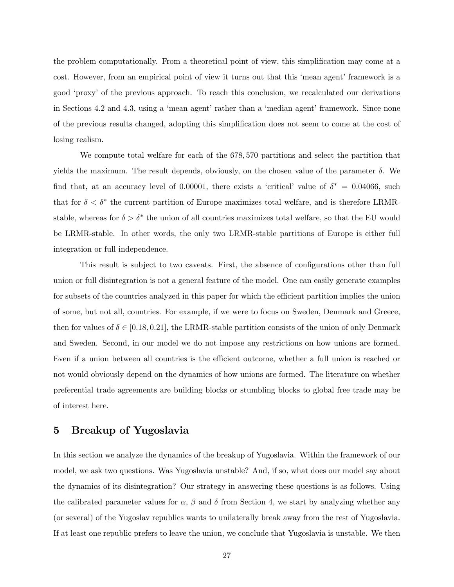the problem computationally. From a theoretical point of view, this simplification may come at a cost. However, from an empirical point of view it turns out that this 'mean agent' framework is a good ëproxyí of the previous approach. To reach this conclusion, we recalculated our derivations in Sections 4.2 and 4.3, using a 'mean agent' rather than a 'median agent' framework. Since none of the previous results changed, adopting this simplification does not seem to come at the cost of losing realism.

We compute total welfare for each of the 678,570 partitions and select the partition that yields the maximum. The result depends, obviously, on the chosen value of the parameter  $\delta$ . We find that, at an accuracy level of 0.00001, there exists a 'critical' value of  $\delta^* = 0.04066$ , such that for  $\delta < \delta^*$  the current partition of Europe maximizes total welfare, and is therefore LRMRstable, whereas for  $\delta > \delta^*$  the union of all countries maximizes total welfare, so that the EU would be LRMR-stable. In other words, the only two LRMR-stable partitions of Europe is either full integration or full independence.

This result is subject to two caveats. First, the absence of configurations other than full union or full disintegration is not a general feature of the model. One can easily generate examples for subsets of the countries analyzed in this paper for which the efficient partition implies the union of some, but not all, countries. For example, if we were to focus on Sweden, Denmark and Greece, then for values of  $\delta \in [0.18, 0.21]$ , the LRMR-stable partition consists of the union of only Denmark and Sweden. Second, in our model we do not impose any restrictions on how unions are formed. Even if a union between all countries is the efficient outcome, whether a full union is reached or not would obviously depend on the dynamics of how unions are formed. The literature on whether preferential trade agreements are building blocks or stumbling blocks to global free trade may be of interest here.

### 5 Breakup of Yugoslavia

In this section we analyze the dynamics of the breakup of Yugoslavia. Within the framework of our model, we ask two questions. Was Yugoslavia unstable? And, if so, what does our model say about the dynamics of its disintegration? Our strategy in answering these questions is as follows. Using the calibrated parameter values for  $\alpha$ ,  $\beta$  and  $\delta$  from Section 4, we start by analyzing whether any (or several) of the Yugoslav republics wants to unilaterally break away from the rest of Yugoslavia. If at least one republic prefers to leave the union, we conclude that Yugoslavia is unstable. We then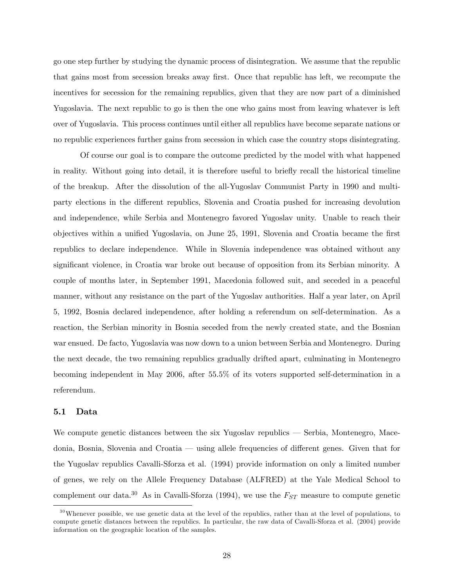go one step further by studying the dynamic process of disintegration. We assume that the republic that gains most from secession breaks away first. Once that republic has left, we recompute the incentives for secession for the remaining republics, given that they are now part of a diminished Yugoslavia. The next republic to go is then the one who gains most from leaving whatever is left over of Yugoslavia. This process continues until either all republics have become separate nations or no republic experiences further gains from secession in which case the country stops disintegrating.

Of course our goal is to compare the outcome predicted by the model with what happened in reality. Without going into detail, it is therefore useful to briefly recall the historical timeline of the breakup. After the dissolution of the all-Yugoslav Communist Party in 1990 and multiparty elections in the different republics, Slovenia and Croatia pushed for increasing devolution and independence, while Serbia and Montenegro favored Yugoslav unity. Unable to reach their objectives within a unified Yugoslavia, on June 25, 1991, Slovenia and Croatia became the first republics to declare independence. While in Slovenia independence was obtained without any significant violence, in Croatia war broke out because of opposition from its Serbian minority. A couple of months later, in September 1991, Macedonia followed suit, and seceded in a peaceful manner, without any resistance on the part of the Yugoslav authorities. Half a year later, on April 5, 1992, Bosnia declared independence, after holding a referendum on self-determination. As a reaction, the Serbian minority in Bosnia seceded from the newly created state, and the Bosnian war ensued. De facto, Yugoslavia was now down to a union between Serbia and Montenegro. During the next decade, the two remaining republics gradually drifted apart, culminating in Montenegro becoming independent in May 2006, after 55.5% of its voters supported self-determination in a referendum.

### 5.1 Data

We compute genetic distances between the six Yugoslav republics – Serbia, Montenegro, Macedonia, Bosnia, Slovenia and Croatia  $\sim$  using allele frequencies of different genes. Given that for the Yugoslav republics Cavalli-Sforza et al. (1994) provide information on only a limited number of genes, we rely on the Allele Frequency Database (ALFRED) at the Yale Medical School to complement our data.<sup>30</sup> As in Cavalli-Sforza (1994), we use the  $F_{ST}$  measure to compute genetic

 $30$ Whenever possible, we use genetic data at the level of the republics, rather than at the level of populations, to compute genetic distances between the republics. In particular, the raw data of Cavalli-Sforza et al. (2004) provide information on the geographic location of the samples.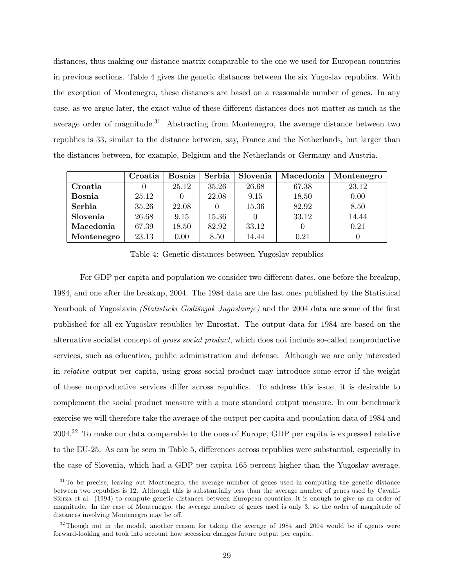distances, thus making our distance matrix comparable to the one we used for European countries in previous sections. Table 4 gives the genetic distances between the six Yugoslav republics. With the exception of Montenegro, these distances are based on a reasonable number of genes. In any case, as we argue later, the exact value of these different distances does not matter as much as the average order of magnitude.<sup>31</sup> Abstracting from Montenegro, the average distance between two republics is 33, similar to the distance between, say, France and the Netherlands, but larger than the distances between, for example, Belgium and the Netherlands or Germany and Austria.

|               | Croatia | <b>Bosnia</b> | Serbia | Slovenia | Macedonia | Montenegro |
|---------------|---------|---------------|--------|----------|-----------|------------|
| Croatia       |         | 25.12         | 35.26  | 26.68    | 67.38     | 23.12      |
| <b>Bosnia</b> | 25.12   |               | 22.08  | 9.15     | 18.50     | 0.00       |
| Serbia        | 35.26   | 22.08         |        | 15.36    | 82.92     | 8.50       |
| Slovenia      | 26.68   | 9.15          | 15.36  |          | 33.12     | 14.44      |
| Macedonia     | 67.39   | 18.50         | 82.92  | 33.12    |           | 0.21       |
| Montenegro    | 23.13   | 0.00          | 8.50   | 14.44    | 0.21      |            |

Table 4: Genetic distances between Yugoslav republics

For GDP per capita and population we consider two different dates, one before the breakup, 1984, and one after the breakup, 2004. The 1984 data are the last ones published by the Statistical Yearbook of Yugoslavia *(Statisticki Godišnjak Jugoslavije)* and the 2004 data are some of the first published for all ex-Yugoslav republics by Eurostat. The output data for 1984 are based on the alternative socialist concept of gross social product, which does not include so-called nonproductive services, such as education, public administration and defense. Although we are only interested in relative output per capita, using gross social product may introduce some error if the weight of these nonproductive services differ across republics. To address this issue, it is desirable to complement the social product measure with a more standard output measure. In our benchmark exercise we will therefore take the average of the output per capita and population data of 1984 and 2004.<sup>32</sup> To make our data comparable to the ones of Europe, GDP per capita is expressed relative to the EU-25. As can be seen in Table 5, differences across republics were substantial, especially in the case of Slovenia, which had a GDP per capita 165 percent higher than the Yugoslav average.

<sup>&</sup>lt;sup>31</sup>To be precise, leaving out Montenegro, the average number of genes used in computing the genetic distance between two republics is 12. Although this is substantially less than the average number of genes used by Cavalli-Sforza et al. (1994) to compute genetic distances between European countries, it is enough to give us an order of magnitude. In the case of Montenegro, the average number of genes used is only 3, so the order of magnitude of distances involving Montenegro may be off.

 $32$ Though not in the model, another reason for taking the average of 1984 and 2004 would be if agents were forward-looking and took into account how secession changes future output per capita.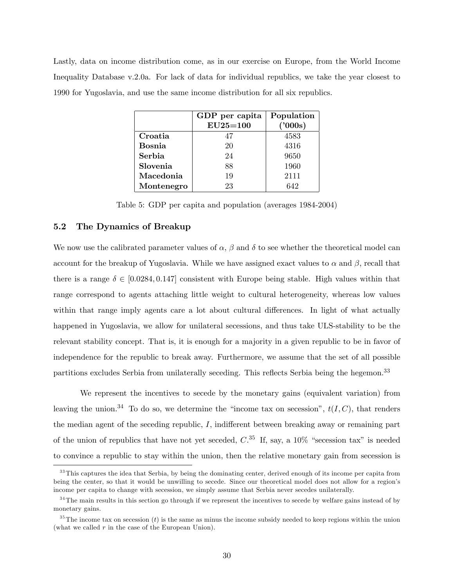Lastly, data on income distribution come, as in our exercise on Europe, from the World Income Inequality Database v.2.0a. For lack of data for individual republics, we take the year closest to 1990 for Yugoslavia, and use the same income distribution for all six republics.

|               | GDP per capita | Population                      |
|---------------|----------------|---------------------------------|
|               | $EU25 = 100$   | $^{\prime\prime}000\mathrm{s})$ |
| Croatia       | 47             | 4583                            |
| <b>Bosnia</b> | 20             | 4316                            |
| Serbia        | 24             | 9650                            |
| Slovenia      | 88             | 1960                            |
| Macedonia     | 19             | 2111                            |
| Montenegro    | 23             | 642                             |

Table 5: GDP per capita and population (averages 1984-2004)

### 5.2 The Dynamics of Breakup

We now use the calibrated parameter values of  $\alpha$ ,  $\beta$  and  $\delta$  to see whether the theoretical model can account for the breakup of Yugoslavia. While we have assigned exact values to  $\alpha$  and  $\beta$ , recall that there is a range  $\delta \in [0.0284, 0.147]$  consistent with Europe being stable. High values within that range correspond to agents attaching little weight to cultural heterogeneity, whereas low values within that range imply agents care a lot about cultural differences. In light of what actually happened in Yugoslavia, we allow for unilateral secessions, and thus take ULS-stability to be the relevant stability concept. That is, it is enough for a majority in a given republic to be in favor of independence for the republic to break away. Furthermore, we assume that the set of all possible partitions excludes Serbia from unilaterally seceding. This reflects Serbia being the hegemon.<sup>33</sup>

We represent the incentives to secede by the monetary gains (equivalent variation) from leaving the union.<sup>34</sup> To do so, we determine the "income tax on secession",  $t(I, C)$ , that renders the median agent of the seceding republic,  $I$ , indifferent between breaking away or remaining part of the union of republics that have not yet seceded,  $C^{35}$  If, say, a  $10\%$  "secession tax" is needed to convince a republic to stay within the union, then the relative monetary gain from secession is

<sup>&</sup>lt;sup>33</sup>This captures the idea that Serbia, by being the dominating center, derived enough of its income per capita from being the center, so that it would be unwilling to secede. Since our theoretical model does not allow for a region's income per capita to change with secession, we simply assume that Serbia never secedes unilaterally.

 $34$ The main results in this section go through if we represent the incentives to secede by welfare gains instead of by monetary gains.

 $35$ The income tax on secession (t) is the same as minus the income subsidy needed to keep regions within the union (what we called  $r$  in the case of the European Union).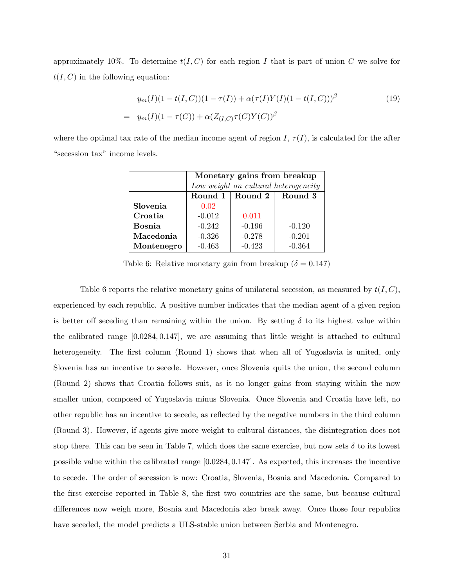approximately 10%. To determine  $t(I, C)$  for each region I that is part of union C we solve for  $t(I, C)$  in the following equation:

$$
y_m(I)(1 - t(I, C))(1 - \tau(I)) + \alpha(\tau(I)Y(I)(1 - t(I, C)))^{\beta}
$$
  
= 
$$
y_m(I)(1 - \tau(C)) + \alpha(Z_{(I, C)}\tau(C)Y(C))^{\beta}
$$
 (19)

where the optimal tax rate of the median income agent of region I,  $\tau(I)$ , is calculated for the after "secession tax" income levels.

|               |          | Monetary gains from breakup |                                      |
|---------------|----------|-----------------------------|--------------------------------------|
|               |          |                             | Low weight on cultural heterogeneity |
|               | Round 1  | Round 2                     | Round 3                              |
| Slovenia      | 0.02     |                             |                                      |
| Croatia       | $-0.012$ | 0.011                       |                                      |
| <b>Bosnia</b> | $-0.242$ | $-0.196$                    | $-0.120$                             |
| Macedonia     | $-0.326$ | $-0.278$                    | $-0.201$                             |
| Montenegro    | $-0.463$ | $-0.423$                    | $-0.364$                             |

Table 6: Relative monetary gain from breakup ( $\delta = 0.147$ )

Table 6 reports the relative monetary gains of unilateral secession, as measured by  $t(I, C)$ , experienced by each republic. A positive number indicates that the median agent of a given region is better off seceding than remaining within the union. By setting  $\delta$  to its highest value within the calibrated range [0:0284; 0:147], we are assuming that little weight is attached to cultural heterogeneity. The first column (Round 1) shows that when all of Yugoslavia is united, only Slovenia has an incentive to secede. However, once Slovenia quits the union, the second column (Round 2) shows that Croatia follows suit, as it no longer gains from staying within the now smaller union, composed of Yugoslavia minus Slovenia. Once Slovenia and Croatia have left, no other republic has an incentive to secede, as reflected by the negative numbers in the third column (Round 3). However, if agents give more weight to cultural distances, the disintegration does not stop there. This can be seen in Table 7, which does the same exercise, but now sets  $\delta$  to its lowest possible value within the calibrated range [0:0284; 0:147]. As expected, this increases the incentive to secede. The order of secession is now: Croatia, Slovenia, Bosnia and Macedonia. Compared to the first exercise reported in Table 8, the first two countries are the same, but because cultural differences now weigh more, Bosnia and Macedonia also break away. Once those four republics have seceded, the model predicts a ULS-stable union between Serbia and Montenegro.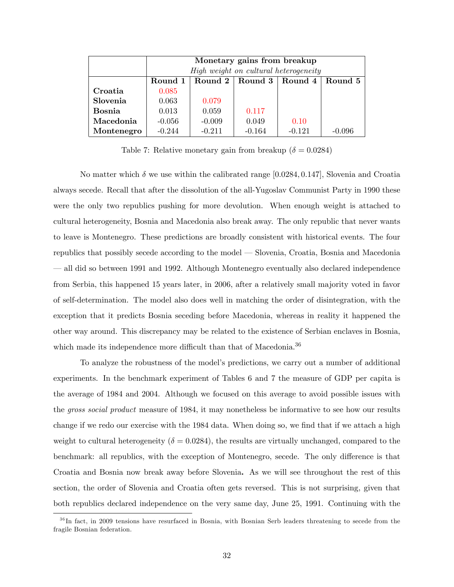|               |          | High weight on cultural heterogeneity | Monetary gains from breakup |          |          |
|---------------|----------|---------------------------------------|-----------------------------|----------|----------|
|               | Round 1  | Round 2                               | Round 3                     | Round 4  | Round 5  |
| Croatia       | 0.085    |                                       |                             |          |          |
| Slovenia      | 0.063    | 0.079                                 |                             |          |          |
| <b>Bosnia</b> | 0.013    | 0.059                                 | 0.117                       |          |          |
| Macedonia     | $-0.056$ | $-0.009$                              | 0.049                       | 0.10     |          |
| Montenegro    | $-0.244$ | $-0.211$                              | $-0.164$                    | $-0.121$ | $-0.096$ |

Table 7: Relative monetary gain from breakup ( $\delta = 0.0284$ )

No matter which  $\delta$  we use within the calibrated range [0.0284, 0.147], Slovenia and Croatia always secede. Recall that after the dissolution of the all-Yugoslav Communist Party in 1990 these were the only two republics pushing for more devolution. When enough weight is attached to cultural heterogeneity, Bosnia and Macedonia also break away. The only republic that never wants to leave is Montenegro. These predictions are broadly consistent with historical events. The four republics that possibly secede according to the model – Slovenia, Croatia, Bosnia and Macedonia ó all did so between 1991 and 1992. Although Montenegro eventually also declared independence from Serbia, this happened 15 years later, in 2006, after a relatively small majority voted in favor of self-determination. The model also does well in matching the order of disintegration, with the exception that it predicts Bosnia seceding before Macedonia, whereas in reality it happened the other way around. This discrepancy may be related to the existence of Serbian enclaves in Bosnia, which made its independence more difficult than that of Macedonia.<sup>36</sup>

To analyze the robustness of the modelís predictions, we carry out a number of additional experiments. In the benchmark experiment of Tables 6 and 7 the measure of GDP per capita is the average of 1984 and 2004. Although we focused on this average to avoid possible issues with the gross social product measure of 1984, it may nonetheless be informative to see how our results change if we redo our exercise with the 1984 data. When doing so, we find that if we attach a high weight to cultural heterogeneity ( $\delta = 0.0284$ ), the results are virtually unchanged, compared to the benchmark: all republics, with the exception of Montenegro, secede. The only difference is that Croatia and Bosnia now break away before Slovenia. As we will see throughout the rest of this section, the order of Slovenia and Croatia often gets reversed. This is not surprising, given that both republics declared independence on the very same day, June 25, 1991. Continuing with the

<sup>&</sup>lt;sup>36</sup>In fact, in 2009 tensions have resurfaced in Bosnia, with Bosnian Serb leaders threatening to secede from the fragile Bosnian federation.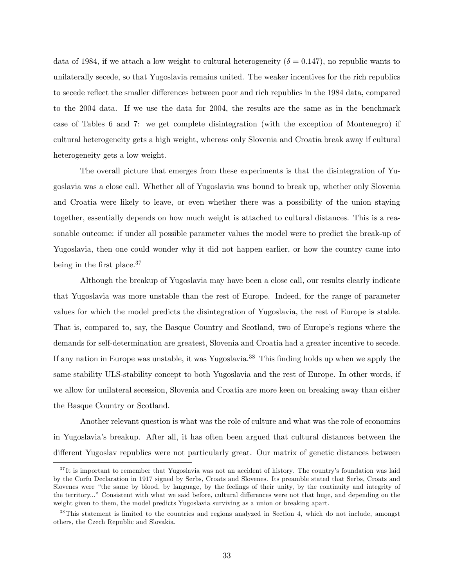data of 1984, if we attach a low weight to cultural heterogeneity ( $\delta = 0.147$ ), no republic wants to unilaterally secede, so that Yugoslavia remains united. The weaker incentives for the rich republics to secede reflect the smaller differences between poor and rich republics in the 1984 data, compared to the 2004 data. If we use the data for 2004, the results are the same as in the benchmark case of Tables 6 and 7: we get complete disintegration (with the exception of Montenegro) if cultural heterogeneity gets a high weight, whereas only Slovenia and Croatia break away if cultural heterogeneity gets a low weight.

The overall picture that emerges from these experiments is that the disintegration of Yugoslavia was a close call. Whether all of Yugoslavia was bound to break up, whether only Slovenia and Croatia were likely to leave, or even whether there was a possibility of the union staying together, essentially depends on how much weight is attached to cultural distances. This is a reasonable outcome: if under all possible parameter values the model were to predict the break-up of Yugoslavia, then one could wonder why it did not happen earlier, or how the country came into being in the first place.  $37$ 

Although the breakup of Yugoslavia may have been a close call, our results clearly indicate that Yugoslavia was more unstable than the rest of Europe. Indeed, for the range of parameter values for which the model predicts the disintegration of Yugoslavia, the rest of Europe is stable. That is, compared to, say, the Basque Country and Scotland, two of Europe's regions where the demands for self-determination are greatest, Slovenia and Croatia had a greater incentive to secede. If any nation in Europe was unstable, it was Yugoslavia.<sup>38</sup> This finding holds up when we apply the same stability ULS-stability concept to both Yugoslavia and the rest of Europe. In other words, if we allow for unilateral secession, Slovenia and Croatia are more keen on breaking away than either the Basque Country or Scotland.

Another relevant question is what was the role of culture and what was the role of economics in Yugoslaviaís breakup. After all, it has often been argued that cultural distances between the different Yugoslav republics were not particularly great. Our matrix of genetic distances between

 $37$ It is important to remember that Yugoslavia was not an accident of history. The country's foundation was laid by the Corfu Declaration in 1917 signed by Serbs, Croats and Slovenes. Its preamble stated that Serbs, Croats and Slovenes were "the same by blood, by language, by the feelings of their unity, by the continuity and integrity of the territory..." Consistent with what we said before, cultural differences were not that huge, and depending on the weight given to them, the model predicts Yugoslavia surviving as a union or breaking apart.

<sup>&</sup>lt;sup>38</sup>This statement is limited to the countries and regions analyzed in Section 4, which do not include, amongst others, the Czech Republic and Slovakia.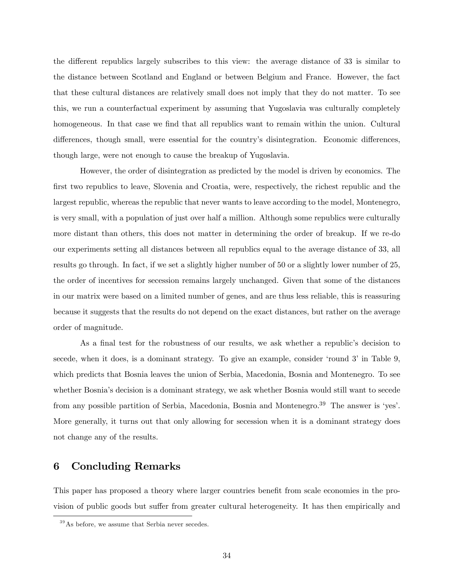the different republics largely subscribes to this view: the average distance of 33 is similar to the distance between Scotland and England or between Belgium and France. However, the fact that these cultural distances are relatively small does not imply that they do not matter. To see this, we run a counterfactual experiment by assuming that Yugoslavia was culturally completely homogeneous. In that case we find that all republics want to remain within the union. Cultural differences, though small, were essential for the country's disintegration. Economic differences, though large, were not enough to cause the breakup of Yugoslavia.

However, the order of disintegration as predicted by the model is driven by economics. The first two republics to leave, Slovenia and Croatia, were, respectively, the richest republic and the largest republic, whereas the republic that never wants to leave according to the model, Montenegro, is very small, with a population of just over half a million. Although some republics were culturally more distant than others, this does not matter in determining the order of breakup. If we re-do our experiments setting all distances between all republics equal to the average distance of 33, all results go through. In fact, if we set a slightly higher number of 50 or a slightly lower number of 25, the order of incentives for secession remains largely unchanged. Given that some of the distances in our matrix were based on a limited number of genes, and are thus less reliable, this is reassuring because it suggests that the results do not depend on the exact distances, but rather on the average order of magnitude.

As a final test for the robustness of our results, we ask whether a republic's decision to secede, when it does, is a dominant strategy. To give an example, consider 'round 3' in Table 9, which predicts that Bosnia leaves the union of Serbia, Macedonia, Bosnia and Montenegro. To see whether Bosnia's decision is a dominant strategy, we ask whether Bosnia would still want to secede from any possible partition of Serbia, Macedonia, Bosnia and Montenegro.<sup>39</sup> The answer is 'yes'. More generally, it turns out that only allowing for secession when it is a dominant strategy does not change any of the results.

## 6 Concluding Remarks

This paper has proposed a theory where larger countries benefit from scale economies in the provision of public goods but suffer from greater cultural heterogeneity. It has then empirically and

 $39$ As before, we assume that Serbia never secedes.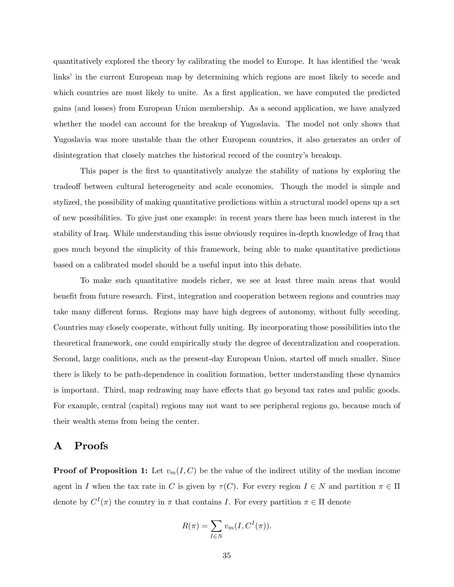quantitatively explored the theory by calibrating the model to Europe. It has identified the 'weak links' in the current European map by determining which regions are most likely to secede and which countries are most likely to unite. As a first application, we have computed the predicted gains (and losses) from European Union membership. As a second application, we have analyzed whether the model can account for the breakup of Yugoslavia. The model not only shows that Yugoslavia was more unstable than the other European countries, it also generates an order of disintegration that closely matches the historical record of the country's breakup.

This paper is the first to quantitatively analyze the stability of nations by exploring the tradeo§ between cultural heterogeneity and scale economies. Though the model is simple and stylized, the possibility of making quantitative predictions within a structural model opens up a set of new possibilities. To give just one example: in recent years there has been much interest in the stability of Iraq. While understanding this issue obviously requires in-depth knowledge of Iraq that goes much beyond the simplicity of this framework, being able to make quantitative predictions based on a calibrated model should be a useful input into this debate.

To make such quantitative models richer, we see at least three main areas that would benefit from future research. First, integration and cooperation between regions and countries may take many different forms. Regions may have high degrees of autonomy, without fully seceding. Countries may closely cooperate, without fully uniting. By incorporating those possibilities into the theoretical framework, one could empirically study the degree of decentralization and cooperation. Second, large coalitions, such as the present-day European Union, started off much smaller. Since there is likely to be path-dependence in coalition formation, better understanding these dynamics is important. Third, map redrawing may have effects that go beyond tax rates and public goods. For example, central (capital) regions may not want to see peripheral regions go, because much of their wealth stems from being the center.

### A Proofs

**Proof of Proposition 1:** Let  $v_m(I, C)$  be the value of the indirect utility of the median income agent in I when the tax rate in C is given by  $\tau(C)$ . For every region  $I \in N$  and partition  $\pi \in \Pi$ denote by  $C^{I}(\pi)$  the country in  $\pi$  that contains I. For every partition  $\pi \in \Pi$  denote

$$
R(\pi) = \sum_{I \in N} v_m(I, C^I(\pi)).
$$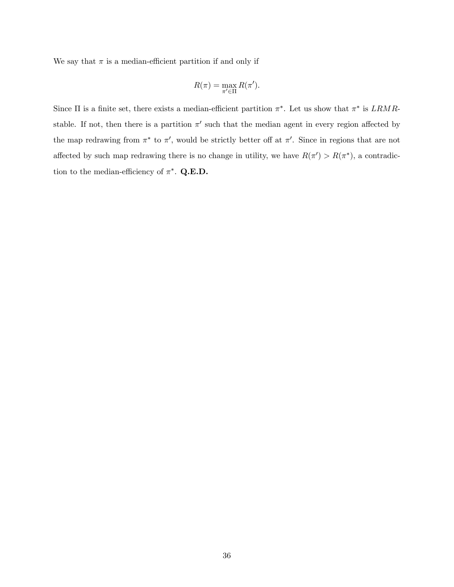We say that  $\pi$  is a median-efficient partition if and only if

$$
R(\pi) = \max_{\pi' \in \Pi} R(\pi').
$$

Since  $\Pi$  is a finite set, there exists a median-efficient partition  $\pi^*$ . Let us show that  $\pi^*$  is LRMRstable. If not, then there is a partition  $\pi'$  such that the median agent in every region affected by the map redrawing from  $\pi^*$  to  $\pi'$ , would be strictly better off at  $\pi'$ . Since in regions that are not affected by such map redrawing there is no change in utility, we have  $R(\pi') > R(\pi^*)$ , a contradiction to the median-efficiency of  $\pi^*$ . Q.E.D.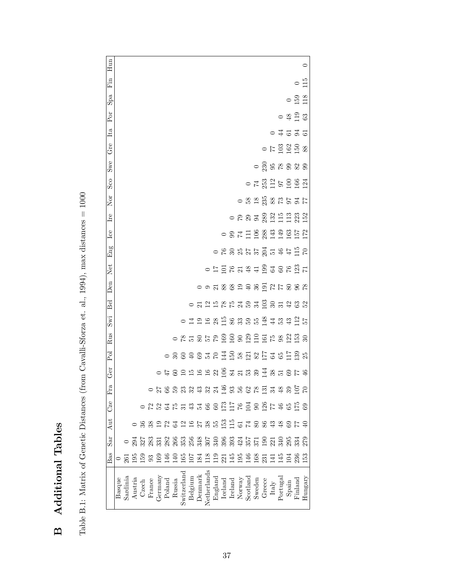| ड<br>⊣<br>ć      |  |
|------------------|--|
| o<br>C<br>į<br>ŀ |  |
|                  |  |

Table B.1: Matrix of Genetic Distances (from Cavalli-Sforza et. al., 1994), max distances = 1000 Table B.1: Matrix of Genetic Distances (from Cavalli-Sforza et. al., 1994), max distances = 1000

|                                                                             | Bas                                       | Sar               | Aut              | $C$ ze | ದ<br>Ė                                              | Ger                                                                                                                                                                                                                                                                                                                       | Pol                               | Rus                                            | Swi                                                                           | Bel                                                                                                                                                                                                                                                                                                                                                   | Den | Net | Eng              | Ice | Ire | Nor                       | Sco         | Swe                         | Gre    | Ita     | Por                            | Spa                 | Fin             | Hun     |
|-----------------------------------------------------------------------------|-------------------------------------------|-------------------|------------------|--------|-----------------------------------------------------|---------------------------------------------------------------------------------------------------------------------------------------------------------------------------------------------------------------------------------------------------------------------------------------------------------------------------|-----------------------------------|------------------------------------------------|-------------------------------------------------------------------------------|-------------------------------------------------------------------------------------------------------------------------------------------------------------------------------------------------------------------------------------------------------------------------------------------------------------------------------------------------------|-----|-----|------------------|-----|-----|---------------------------|-------------|-----------------------------|--------|---------|--------------------------------|---------------------|-----------------|---------|
| Basque                                                                      |                                           |                   |                  |        |                                                     |                                                                                                                                                                                                                                                                                                                           |                                   |                                                |                                                                               |                                                                                                                                                                                                                                                                                                                                                       |     |     |                  |     |     |                           |             |                             |        |         |                                |                     |                 |         |
| Sardinia                                                                    | 261                                       |                   |                  |        |                                                     |                                                                                                                                                                                                                                                                                                                           |                                   |                                                |                                                                               |                                                                                                                                                                                                                                                                                                                                                       |     |     |                  |     |     |                           |             |                             |        |         |                                |                     |                 |         |
| Austria                                                                     | 195                                       | 294               |                  |        |                                                     |                                                                                                                                                                                                                                                                                                                           |                                   |                                                |                                                                               |                                                                                                                                                                                                                                                                                                                                                       |     |     |                  |     |     |                           |             |                             |        |         |                                |                     |                 |         |
| Czech                                                                       | 159                                       |                   |                  |        |                                                     |                                                                                                                                                                                                                                                                                                                           |                                   |                                                |                                                                               |                                                                                                                                                                                                                                                                                                                                                       |     |     |                  |     |     |                           |             |                             |        |         |                                |                     |                 |         |
| France                                                                      | 93                                        | 32<br>283<br>331  |                  |        |                                                     |                                                                                                                                                                                                                                                                                                                           |                                   |                                                |                                                                               |                                                                                                                                                                                                                                                                                                                                                       |     |     |                  |     |     |                           |             |                             |        |         |                                |                     |                 |         |
| Germany                                                                     | 169                                       |                   |                  |        |                                                     |                                                                                                                                                                                                                                                                                                                           |                                   |                                                |                                                                               |                                                                                                                                                                                                                                                                                                                                                       |     |     |                  |     |     |                           |             |                             |        |         |                                |                     |                 |         |
| $_{\rm Poland}$                                                             | 146                                       | 280<br>265<br>256 | 30777            |        |                                                     |                                                                                                                                                                                                                                                                                                                           |                                   |                                                |                                                                               |                                                                                                                                                                                                                                                                                                                                                       |     |     |                  |     |     |                           |             |                             |        |         |                                |                     |                 |         |
| $Russia$                                                                    | $\overline{14}$                           |                   |                  |        |                                                     |                                                                                                                                                                                                                                                                                                                           |                                   |                                                |                                                                               |                                                                                                                                                                                                                                                                                                                                                       |     |     |                  |     |     |                           |             |                             |        |         |                                |                     |                 |         |
| Switzerland                                                                 | 165                                       |                   | 29585            |        |                                                     |                                                                                                                                                                                                                                                                                                                           |                                   |                                                |                                                                               |                                                                                                                                                                                                                                                                                                                                                       |     |     |                  |     |     |                           |             |                             |        |         |                                |                     |                 |         |
| Belgium                                                                     | 107                                       |                   |                  |        |                                                     |                                                                                                                                                                                                                                                                                                                           |                                   |                                                |                                                                               |                                                                                                                                                                                                                                                                                                                                                       |     |     |                  |     |     |                           |             |                             |        |         |                                |                     |                 |         |
| Denmark                                                                     |                                           |                   |                  |        |                                                     |                                                                                                                                                                                                                                                                                                                           |                                   |                                                |                                                                               |                                                                                                                                                                                                                                                                                                                                                       |     |     |                  |     |     |                           |             |                             |        |         |                                |                     |                 |         |
| Netherlands                                                                 |                                           |                   |                  |        |                                                     |                                                                                                                                                                                                                                                                                                                           |                                   |                                                |                                                                               |                                                                                                                                                                                                                                                                                                                                                       |     |     |                  |     |     |                           |             |                             |        |         |                                |                     |                 |         |
|                                                                             | $\frac{34}{13}$                           | 355 363<br>365 36 |                  |        | $\circ$ & 8 8 8 9 9 9 8 4 5 6 8 9 8 5 5 8 9 8 5 6 7 | $\circ$ $\frac{1}{2}$ $\frac{1}{2}$ $\frac{1}{2}$ $\frac{1}{2}$ $\frac{1}{2}$ $\frac{1}{2}$ $\frac{1}{2}$ $\frac{1}{2}$ $\frac{1}{2}$ $\frac{1}{2}$ $\frac{1}{2}$ $\frac{1}{2}$ $\frac{1}{2}$ $\frac{1}{2}$ $\frac{1}{2}$ $\frac{1}{2}$ $\frac{1}{2}$ $\frac{1}{2}$ $\frac{1}{2}$ $\frac{1}{2}$ $\frac{1}{2}$ $\frac{1}{$ | $\circ$ នទូមទំនើនមួនដូនដូនទូដីទូន | ុន្ត ក្នុង ក្នុង ក្នុង ក្នុង ក្នុង ក្នុង ក្នុង | $\circ$ 1 2 3 4 8 $\frac{1}{2}$ 3 3 3 5 6 $\frac{3}{4}$ 3 3 3 $\frac{1}{2}$ 5 | $\circ$ $\Xi$ $\Xi$ $\Xi$ $\mathcal{R}$ $\mathcal{R}$ $\mathcal{R}$ $\mathcal{R}$ $\mathcal{R}$ $\mathcal{R}$ $\mathcal{R}$ $\mathcal{R}$ $\mathcal{R}$ $\mathcal{R}$ $\mathcal{R}$ $\mathcal{R}$ $\mathcal{R}$ $\mathcal{R}$ $\mathcal{R}$ $\mathcal{R}$ $\mathcal{R}$ $\mathcal{R}$ $\mathcal{R}$ $\mathcal{R}$ $\mathcal{R}$ $\mathcal{R}$ $\math$ |     |     | $-0.88855249422$ |     |     |                           |             |                             |        |         |                                |                     |                 |         |
| England<br>Iceland<br>Ireland                                               | $214546$<br>$246$<br>$246$                |                   | $\frac{153}{15}$ |        |                                                     |                                                                                                                                                                                                                                                                                                                           |                                   |                                                |                                                                               |                                                                                                                                                                                                                                                                                                                                                       |     |     |                  |     |     |                           |             |                             |        |         |                                |                     |                 |         |
|                                                                             |                                           |                   |                  |        |                                                     |                                                                                                                                                                                                                                                                                                                           |                                   |                                                |                                                                               |                                                                                                                                                                                                                                                                                                                                                       |     |     |                  |     |     |                           |             |                             |        |         |                                |                     |                 |         |
| $\begin{array}{c} {\rm Norway}\\ {\rm Scotland}\\ {\rm Sweden} \end{array}$ |                                           | $3570$<br>$3579$  | $5\frac{1}{2}$   |        |                                                     |                                                                                                                                                                                                                                                                                                                           |                                   |                                                |                                                                               |                                                                                                                                                                                                                                                                                                                                                       |     |     |                  |     |     |                           |             |                             |        |         |                                |                     |                 |         |
|                                                                             |                                           |                   |                  |        |                                                     |                                                                                                                                                                                                                                                                                                                           |                                   |                                                |                                                                               |                                                                                                                                                                                                                                                                                                                                                       |     |     |                  |     |     |                           |             |                             |        |         |                                |                     |                 |         |
|                                                                             |                                           |                   | $80\,$           |        |                                                     |                                                                                                                                                                                                                                                                                                                           |                                   |                                                |                                                                               |                                                                                                                                                                                                                                                                                                                                                       |     |     |                  |     |     |                           |             |                             |        |         |                                |                     |                 |         |
|                                                                             | 231                                       |                   | 86               |        |                                                     |                                                                                                                                                                                                                                                                                                                           |                                   |                                                |                                                                               |                                                                                                                                                                                                                                                                                                                                                       |     |     |                  |     |     |                           |             |                             |        |         |                                |                     |                 |         |
|                                                                             | $\overline{141}$                          |                   | $\ddot{4}$       |        |                                                     |                                                                                                                                                                                                                                                                                                                           |                                   |                                                |                                                                               |                                                                                                                                                                                                                                                                                                                                                       |     |     |                  |     |     |                           |             |                             |        |         |                                |                     |                 |         |
|                                                                             | 145                                       | $\frac{23}{340}$  | $\frac{8}{3}$    |        |                                                     |                                                                                                                                                                                                                                                                                                                           |                                   |                                                |                                                                               |                                                                                                                                                                                                                                                                                                                                                       |     |     |                  |     |     |                           |             |                             |        |         |                                |                     |                 |         |
| ${\small \bf Portugal\\ Spin} \\{\bf Spin} \\$                              | $\Xi$                                     | 295               | 770              |        |                                                     |                                                                                                                                                                                                                                                                                                                           |                                   |                                                |                                                                               |                                                                                                                                                                                                                                                                                                                                                       |     |     |                  |     |     | $ \frac{88882557}{20000}$ | $-7.815894$ | $\circ$ ខ្លឹ ខ្លួ ខ្លួ ខ្លួ | 0.7388 | $-4222$ | $ \frac{8}{11}$ $\frac{3}{10}$ |                     |                 |         |
| Finland                                                                     | $\begin{array}{c} 236 \\ 153 \end{array}$ | 334               |                  |        |                                                     |                                                                                                                                                                                                                                                                                                                           |                                   |                                                |                                                                               |                                                                                                                                                                                                                                                                                                                                                       |     |     |                  |     |     |                           |             |                             |        |         |                                | $\frac{0.53}{1.18}$ | $\frac{0}{115}$ |         |
| Hungary                                                                     |                                           | 279               | $\Theta$         | 69     |                                                     |                                                                                                                                                                                                                                                                                                                           |                                   |                                                |                                                                               |                                                                                                                                                                                                                                                                                                                                                       |     |     |                  |     |     |                           |             |                             |        |         |                                |                     |                 | $\circ$ |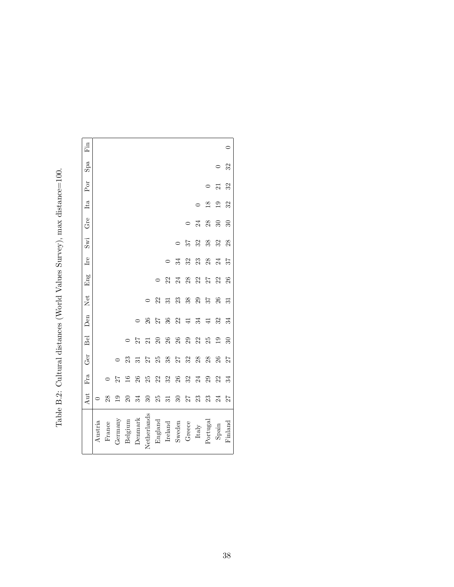|             | Table B.2: Cultural distances (World Values Survey), max distance=100 |               |     |                 |                |     |     |     |          |                 |                 |                 |     |     |
|-------------|-----------------------------------------------------------------------|---------------|-----|-----------------|----------------|-----|-----|-----|----------|-----------------|-----------------|-----------------|-----|-----|
|             | Aut                                                                   | Fra           | Ger | Bel             | Den            | Net | Eng | İте | $S_{W1}$ | Gre             | Ita             | $\rm Por$       | Spa | Fin |
| Austria     |                                                                       |               |     |                 |                |     |     |     |          |                 |                 |                 |     |     |
| France      | 28                                                                    |               |     |                 |                |     |     |     |          |                 |                 |                 |     |     |
| Germany     | $\overline{1}$                                                        | 27            |     |                 |                |     |     |     |          |                 |                 |                 |     |     |
| Belgium     | 20                                                                    | $\frac{6}{1}$ | 23  |                 |                |     |     |     |          |                 |                 |                 |     |     |
| Demmark     | 34                                                                    | 26            | ವ   | 27              |                |     |     |     |          |                 |                 |                 |     |     |
| Netherlands | $\overline{30}$                                                       | 25            | 27  | $\overline{21}$ | 26             |     |     |     |          |                 |                 |                 |     |     |
| England     | 25                                                                    | 22            | 25  | $\Omega$        | 27             | 22  |     |     |          |                 |                 |                 |     |     |
| Ireland     | $\overline{31}$                                                       | 32            | 38  | 26              | 36             | ವ   | 22  |     |          |                 |                 |                 |     |     |
| Sweden      | $30\,$                                                                | 26            | 27  | 26              | 22             | 23  | 24  | 24  |          |                 |                 |                 |     |     |
| Greece      | 27                                                                    | 32            | 32  | 29              | $\frac{1}{4}$  | 38  | 28  | 32  | 57       |                 |                 |                 |     |     |
| Italy       | $23\,$                                                                | 24            | 28  | 22              | 34             | 29  | 22  | 23  | 32       | 24              |                 |                 |     |     |
| Portugal    | 23                                                                    | 29            | 28  | 25              | $\overline{+}$ | 57  | 27  | 28  | 38       | 28              | $\frac{8}{18}$  |                 |     |     |
| Spain       | 24                                                                    | 22            | 26  | $\overline{19}$ | 32             | 26  | 22  | 24  | 32       | $\overline{30}$ | $\overline{19}$ | $\overline{21}$ |     |     |
| Finland     | 27                                                                    | 24            | 27  | $\mathfrak{D}$  | 34             | ಸ   | 26  | 77  | 28       | 30              | 32              | 32              | 32  |     |

| ٠<br>I<br>٢<br>٥   |
|--------------------|
| ֚֚                 |
|                    |
|                    |
|                    |
|                    |
|                    |
| $\frac{1}{2}$<br>i |
|                    |
|                    |
|                    |
|                    |
| .<br>}<br>2        |
| ļ<br>I             |
|                    |
|                    |
| $\frac{1}{2}$      |
| $\frac{1}{2}$      |
| ł                  |
|                    |
|                    |
|                    |
|                    |
|                    |
|                    |
|                    |
| i<br>I             |
|                    |
| .<br>آ             |
|                    |
| :<br>;<br>;        |
| $\frac{1}{2}$      |
|                    |
| $\frac{1}{2}$      |
| ;<br> <br>         |
|                    |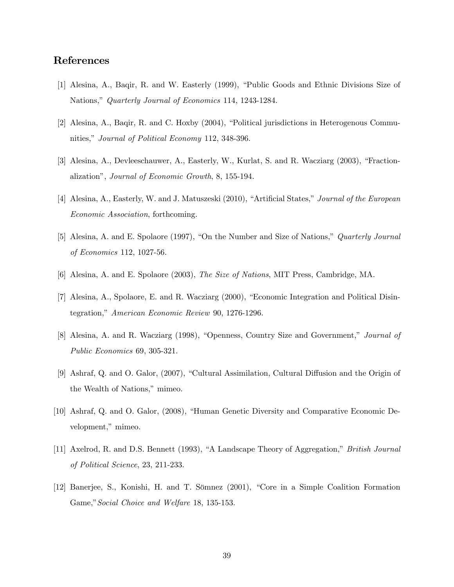# References

- [1] Alesina, A., Baqir, R. and W. Easterly (1999), "Public Goods and Ethnic Divisions Size of Nations," Quarterly Journal of Economics 114, 1243-1284.
- [2] Alesina, A., Baqir, R. and C. Hoxby  $(2004)$ , "Political jurisdictions in Heterogenous Communities," Journal of Political Economy 112, 348-396.
- [3] Alesina, A., Devleeschauwer, A., Easterly, W., Kurlat, S. and R. Wacziarg (2003), "Fractionalization", Journal of Economic Growth, 8, 155-194.
- [4] Alesina, A., Easterly, W. and J. Matuszeski (2010), "Artificial States," Journal of the European Economic Association, forthcoming.
- [5] Alesina, A. and E. Spolaore (1997), "On the Number and Size of Nations," Quarterly Journal of Economics 112, 1027-56.
- [6] Alesina, A. and E. Spolaore (2003), The Size of Nations, MIT Press, Cambridge, MA.
- [7] Alesina, A., Spolaore, E. and R. Wacziarg (2000), "Economic Integration and Political Disintegration," American Economic Review 90, 1276-1296.
- [8] Alesina, A. and R. Wacziarg (1998), "Openness, Country Size and Government," Journal of Public Economics 69, 305-321.
- [9] Ashraf, Q. and O. Galor, (2007), "Cultural Assimilation, Cultural Diffusion and the Origin of the Wealth of Nations," mimeo.
- [10] Ashraf, Q. and O. Galor, (2008), "Human Genetic Diversity and Comparative Economic Development," mimeo.
- [11] Axelrod, R. and D.S. Bennett (1993), "A Landscape Theory of Aggregation," British Journal of Political Science, 23, 211-233.
- [12] Banerjee, S., Konishi, H. and T. Sömnez (2001), "Core in a Simple Coalition Formation Game," Social Choice and Welfare 18, 135-153.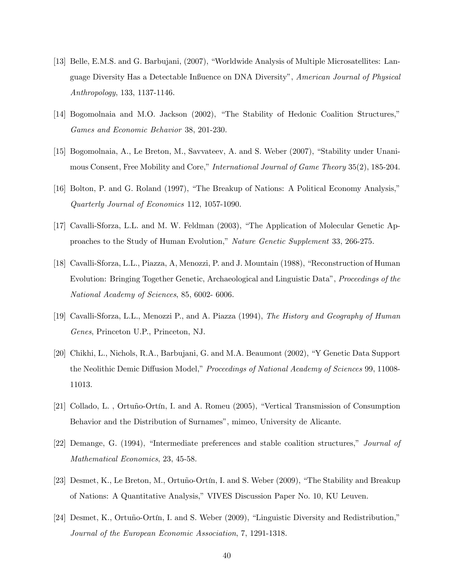- [13] Belle, E.M.S. and G. Barbujani, (2007), "Worldwide Analysis of Multiple Microsatellites: Language Diversity Has a Detectable Influence on DNA Diversity", American Journal of Physical Anthropology, 133, 1137-1146.
- [14] Bogomolnaia and M.O. Jackson (2002), "The Stability of Hedonic Coalition Structures," Games and Economic Behavior 38, 201-230.
- [15] Bogomolnaia, A., Le Breton, M., Savvateev, A. and S. Weber (2007), "Stability under Unanimous Consent, Free Mobility and Core," International Journal of Game Theory 35(2), 185-204.
- [16] Bolton, P. and G. Roland (1997), "The Breakup of Nations: A Political Economy Analysis," Quarterly Journal of Economics 112, 1057-1090.
- [17] Cavalli-Sforza, L.L. and M. W. Feldman (2003), "The Application of Molecular Genetic Approaches to the Study of Human Evolution," Nature Genetic Supplement 33, 266-275.
- [18] Cavalli-Sforza, L.L., Piazza, A, Menozzi, P. and J. Mountain (1988), "Reconstruction of Human Evolution: Bringing Together Genetic, Archaeological and Linguistic Dataî, Proceedings of the National Academy of Sciences, 85, 6002- 6006.
- [19] Cavalli-Sforza, L.L., Menozzi P., and A. Piazza (1994), The History and Geography of Human Genes, Princeton U.P., Princeton, NJ.
- [20] Chikhi, L., Nichols, R.A., Barbujani, G. and M.A. Beaumont (2002), "Y Genetic Data Support the Neolithic Demic Diffusion Model," Proceedings of National Academy of Sciences 99, 11008-11013.
- [21] Collado, L., Ortuño-Ortín, I. and A. Romeu (2005), "Vertical Transmission of Consumption Behavior and the Distribution of Surnames", mimeo, University de Alicante.
- [22] Demange, G. (1994), "Intermediate preferences and stable coalition structures," *Journal of* Mathematical Economics, 23, 45-58.
- [23] Desmet, K., Le Breton, M., Ortuño-Ortín, I. and S. Weber (2009), "The Stability and Breakup of Nations: A Quantitative Analysis," VIVES Discussion Paper No. 10, KU Leuven.
- $[24]$  Desmet, K., Ortuño-Ortín, I. and S. Weber (2009), "Linguistic Diversity and Redistribution," Journal of the European Economic Association, 7, 1291-1318.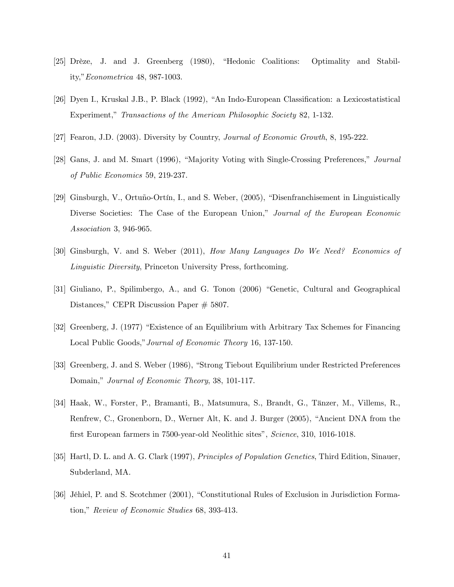- [25] Drèze, J. and J. Greenberg (1980), "Hedonic Coalitions: Optimality and Stability," Econometrica 48, 987-1003.
- [26] Dyen I., Kruskal J.B., P. Black (1992), "An Indo-European Classification: a Lexicostatistical Experiment," Transactions of the American Philosophic Society 82, 1-132.
- [27] Fearon, J.D. (2003). Diversity by Country, Journal of Economic Growth, 8, 195-222.
- [28] Gans, J. and M. Smart (1996), "Majority Voting with Single-Crossing Preferences," Journal of Public Economics 59, 219-237.
- [29] Ginsburgh, V., Ortuño-Ortín, I., and S. Weber, (2005), "Disenfranchisement in Linguistically Diverse Societies: The Case of the European Union," Journal of the European Economic Association 3, 946-965.
- [30] Ginsburgh, V. and S. Weber (2011), How Many Languages Do We Need? Economics of Linguistic Diversity, Princeton University Press, forthcoming.
- [31] Giuliano, P., Spilimbergo, A., and G. Tonon (2006) "Genetic, Cultural and Geographical Distances," CEPR Discussion Paper  $# 5807$ .
- [32] Greenberg, J. (1977) "Existence of an Equilibrium with Arbitrary Tax Schemes for Financing Local Public Goods," Journal of Economic Theory 16, 137-150.
- [33] Greenberg, J. and S. Weber (1986), "Strong Tiebout Equilibrium under Restricted Preferences Domain," Journal of Economic Theory, 38, 101-117.
- [34] Haak, W., Forster, P., Bramanti, B., Matsumura, S., Brandt, G., Tänzer, M., Villems, R., Renfrew, C., Gronenborn, D., Werner Alt, K. and J. Burger (2005), "Ancient DNA from the first European farmers in 7500-year-old Neolithic sites", Science, 310, 1016-1018.
- [35] Hartl, D. L. and A. G. Clark (1997), Principles of Population Genetics, Third Edition, Sinauer, Subderland, MA.
- [36] Jéhiel, P. and S. Scotchmer (2001), "Constitutional Rules of Exclusion in Jurisdiction Formation," Review of Economic Studies 68, 393-413.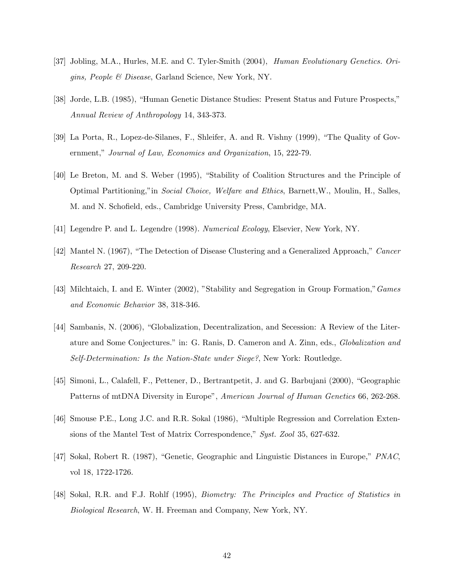- [37] Jobling, M.A., Hurles, M.E. and C. Tyler-Smith (2004), *Human Evolutionary Genetics. Ori*gins, People & Disease, Garland Science, New York, NY.
- [38] Jorde, L.B. (1985), "Human Genetic Distance Studies: Present Status and Future Prospects," Annual Review of Anthropology 14, 343-373.
- [39] La Porta, R., Lopez-de-Silanes, F., Shleifer, A. and R. Vishny (1999), "The Quality of Government," Journal of Law, Economics and Organization, 15, 222-79.
- [40] Le Breton, M. and S. Weber (1995), "Stability of Coalition Structures and the Principle of Optimal Partitioning,"in Social Choice, Welfare and Ethics, Barnett,W., Moulin, H., Salles, M. and N. Schofield, eds., Cambridge University Press, Cambridge, MA.
- [41] Legendre P. and L. Legendre (1998). Numerical Ecology, Elsevier, New York, NY.
- [42] Mantel N. (1967), "The Detection of Disease Clustering and a Generalized Approach," Cancer Research 27, 209-220.
- [43] Milchtaich, I. and E. Winter (2002), "Stability and Segregation in Group Formation," Games and Economic Behavior 38, 318-346.
- [44] Sambanis, N. (2006), "Globalization, Decentralization, and Secession: A Review of the Literature and Some Conjectures." in: G. Ranis, D. Cameron and A. Zinn, eds., *Globalization and* Self-Determination: Is the Nation-State under Siege?, New York: Routledge.
- [45] Simoni, L., Calafell, F., Pettener, D., Bertrantpetit, J. and G. Barbujani (2000), "Geographic Patterns of mtDNA Diversity in Europe", American Journal of Human Genetics 66, 262-268.
- [46] Smouse P.E., Long J.C. and R.R. Sokal (1986), "Multiple Regression and Correlation Extensions of the Mantel Test of Matrix Correspondence," Syst. Zool 35, 627-632.
- [47] Sokal, Robert R. (1987), "Genetic, Geographic and Linguistic Distances in Europe," PNAC, vol 18, 1722-1726.
- [48] Sokal, R.R. and F.J. Rohlf (1995), Biometry: The Principles and Practice of Statistics in Biological Research, W. H. Freeman and Company, New York, NY.